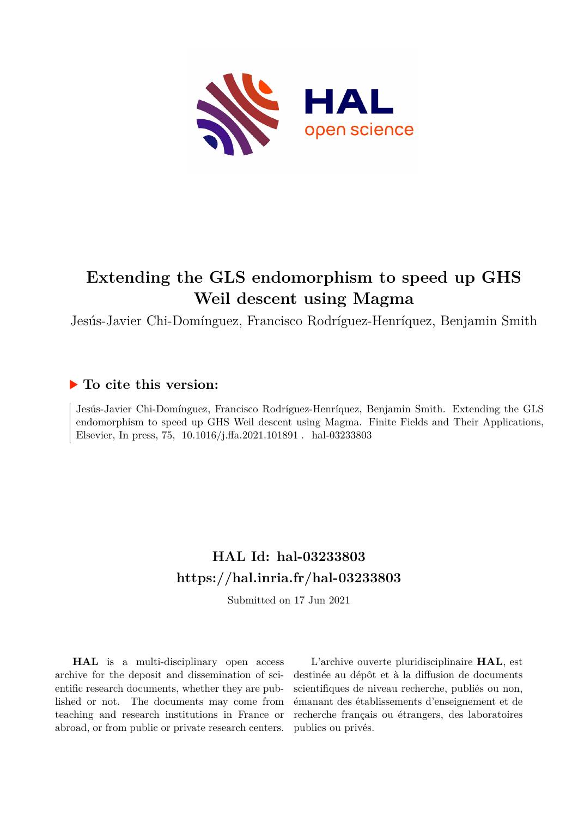

# **Extending the GLS endomorphism to speed up GHS Weil descent using Magma**

Jesús-Javier Chi-Domínguez, Francisco Rodríguez-Henríquez, Benjamin Smith

## **To cite this version:**

Jesús-Javier Chi-Domínguez, Francisco Rodríguez-Henríquez, Benjamin Smith. Extending the GLS endomorphism to speed up GHS Weil descent using Magma. Finite Fields and Their Applications, Elsevier, In press, 75, 10.1016/j.ffa.2021.101891 . hal-03233803

## **HAL Id: hal-03233803 <https://hal.inria.fr/hal-03233803>**

Submitted on 17 Jun 2021

**HAL** is a multi-disciplinary open access archive for the deposit and dissemination of scientific research documents, whether they are published or not. The documents may come from teaching and research institutions in France or abroad, or from public or private research centers.

L'archive ouverte pluridisciplinaire **HAL**, est destinée au dépôt et à la diffusion de documents scientifiques de niveau recherche, publiés ou non, émanant des établissements d'enseignement et de recherche français ou étrangers, des laboratoires publics ou privés.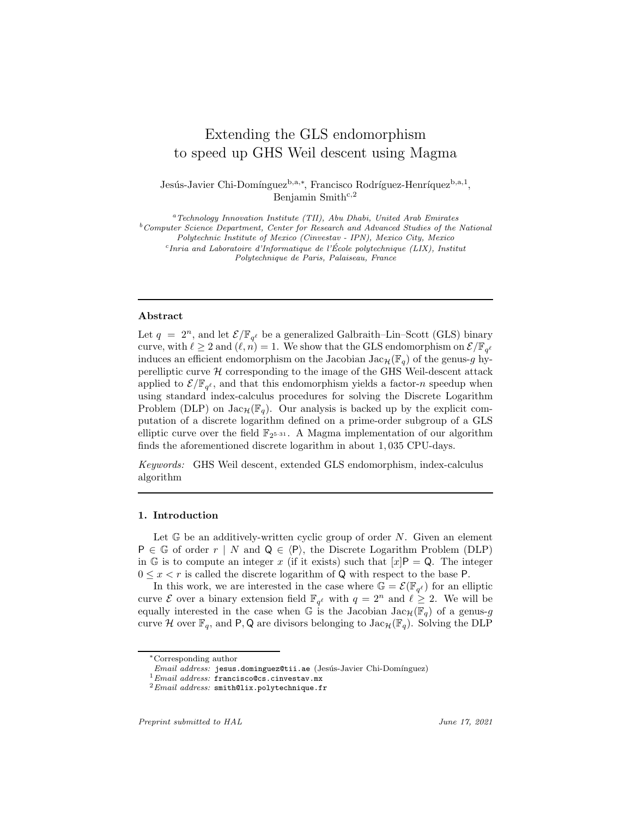### Extending the GLS endomorphism to speed up GHS Weil descent using Magma

Jesús-Javier Chi-Domínguez<sup>b,a,∗</sup>, Francisco Rodríguez-Henríquez<sup>b,a,1</sup>, Benjamin Smith<sup>c,2</sup>

 $a<sup>a</sup> Technology Innotation Institute (TII), Abu Dhabi, United Arab Emirates$  $b$ Computer Science Department, Center for Research and Advanced Studies of the National Polytechnic Institute of Mexico (Cinvestav - IPN), Mexico City, Mexico  $c$ Inria and Laboratoire d'Informatique de l'École polytechnique (LIX), Institut Polytechnique de Paris, Palaiseau, France

#### Abstract

Let  $q = 2^n$ , and let  $\mathcal{E}/\mathbb{F}_{q^{\ell}}$  be a generalized Galbraith–Lin–Scott (GLS) binary curve, with  $\ell \geq 2$  and  $(\ell, n) = 1$ . We show that the GLS endomorphism on  $\mathcal{E}/\mathbb{F}_{q^{\ell}}$ induces an efficient endomorphism on the Jacobian Jac<sub>H</sub>( $\mathbb{F}_q$ ) of the genus-g hyperelliptic curve  $H$  corresponding to the image of the GHS Weil-descent attack applied to  $\mathcal{E}/\mathbb{F}_{q^{\ell}}$ , and that this endomorphism yields a factor-*n* speedup when using standard index-calculus procedures for solving the Discrete Logarithm Problem (DLP) on  $Jac_{\mathcal{H}}(\mathbb{F}_q)$ . Our analysis is backed up by the explicit computation of a discrete logarithm defined on a prime-order subgroup of a GLS elliptic curve over the field  $\mathbb{F}_{2^{5\cdot 31}}$ . A Magma implementation of our algorithm finds the aforementioned discrete logarithm in about 1, 035 CPU-days.

Keywords: GHS Weil descent, extended GLS endomorphism, index-calculus algorithm

#### 1. Introduction

Let  $\mathbb{G}$  be an additively-written cyclic group of order N. Given an element  $P \in \mathbb{G}$  of order  $r \mid N$  and  $Q \in \langle P \rangle$ , the Discrete Logarithm Problem (DLP) in G is to compute an integer x (if it exists) such that  $[x]P = Q$ . The integer  $0 \leq x \leq r$  is called the discrete logarithm of Q with respect to the base P.

In this work, we are interested in the case where  $\mathbb{G} = \mathcal{E}(\mathbb{F}_{q^{\ell}})$  for an elliptic curve  $\mathcal E$  over a binary extension field  $\mathbb{F}_{q^{\ell}}$  with  $q = 2^n$  and  $\ell \geq 2$ . We will be equally interested in the case when G is the Jacobian  $Jac_{\mathcal{H}}(\mathbb{F}_q)$  of a genus-g curve H over  $\mathbb{F}_q$ , and P, Q are divisors belonging to  $\text{Jac}_\mathcal{H}(\mathbb{F}_q)$ . Solving the DLP

<sup>∗</sup>Corresponding author

 $Email \ address:$  jesus.dominguez@tii.ae (Jesús-Javier Chi-Domínguez)

<sup>1</sup>Email address: francisco@cs.cinvestav.mx

 $^{2}Email$  address: smith@lix.polytechnique.fr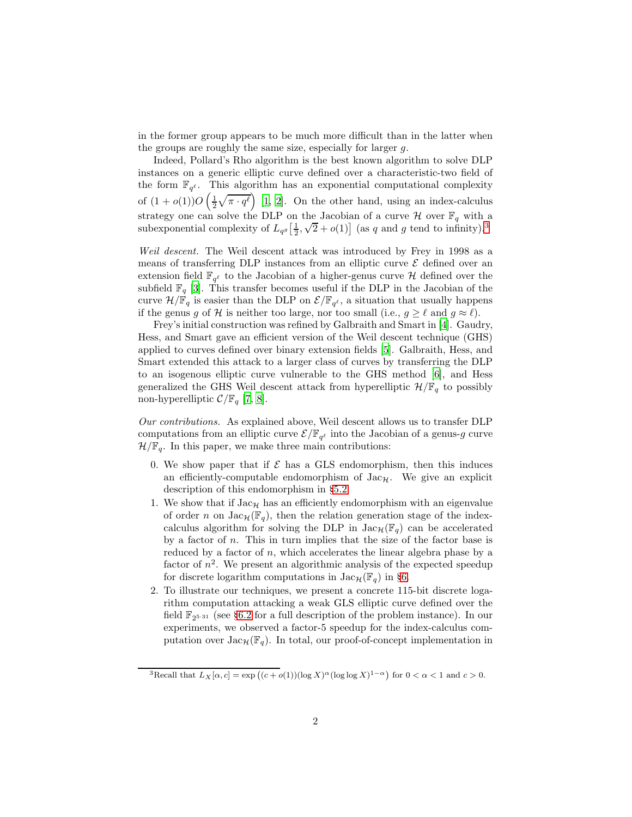in the former group appears to be much more difficult than in the latter when the groups are roughly the same size, especially for larger g.

Indeed, Pollard's Rho algorithm is the best known algorithm to solve DLP instances on a generic elliptic curve defined over a characteristic-two field of the form  $\mathbb{F}_{q^{\ell}}$ . This algorithm has an exponential computational complexity of  $(1+o(1))O\left(\frac{1}{2}\sqrt{\pi\cdot q^{\ell}}\right)$  [1, 2]. On the other hand, using an index-calculus strategy one can solve the DLP on the Jacobian of a curve  $\mathcal H$  over  $\mathbb F_q$  with a subexponential complexity of  $L_{qg}$   $\left[\frac{1}{2}, \sqrt{2} + o(1)\right]$  (as q and g tend to infinity).<sup>3</sup>

Weil descent. The Weil descent attack was introduced by Frey in 1998 as a means of transferring DLP instances from an elliptic curve  $\mathcal E$  defined over an extension field  $\mathbb{F}_{q^{\ell}}$  to the Jacobian of a higher-genus curve  $\mathcal H$  defined over the subfield  $\mathbb{F}_q$  [3]. This transfer becomes useful if the DLP in the Jacobian of the curve  $\mathcal{H}/\mathbb{F}_q$  is easier than the DLP on  $\mathcal{E}/\mathbb{F}_{q^{\ell}}$ , a situation that usually happens if the genus g of H is neither too large, nor too small (i.e.,  $g \geq \ell$  and  $g \approx \ell$ ).

Frey's initial construction was refined by Galbraith and Smart in [4]. Gaudry, Hess, and Smart gave an efficient version of the Weil descent technique (GHS) applied to curves defined over binary extension fields [5]. Galbraith, Hess, and Smart extended this attack to a larger class of curves by transferring the DLP to an isogenous elliptic curve vulnerable to the GHS method [6], and Hess generalized the GHS Weil descent attack from hyperelliptic  $\mathcal{H}/\mathbb{F}_q$  to possibly non-hyperelliptic  $\mathcal{C}/\mathbb{F}_q$  [7, 8].

Our contributions. As explained above, Weil descent allows us to transfer DLP computations from an elliptic curve  $\mathcal{E}/\mathbb{F}_{q^{\ell}}$  into the Jacobian of a genus-g curve  $\mathcal{H}/\mathbb{F}_q$ . In this paper, we make three main contributions:

- 0. We show paper that if  $\mathcal E$  has a GLS endomorphism, then this induces an efficiently-computable endomorphism of  $Jac_{\mathcal{H}}$ . We give an explicit description of this endomorphism in §5.2.
- 1. We show that if  $Jac_{\mathcal{H}}$  has an efficiently endomorphism with an eigenvalue of order n on  $Jac_{\mathcal{H}}(\mathbb{F}_q)$ , then the relation generation stage of the indexcalculus algorithm for solving the DLP in  $\text{Jac}_{\mathcal{H}}(\mathbb{F}_q)$  can be accelerated by a factor of  $n$ . This in turn implies that the size of the factor base is reduced by a factor of n, which accelerates the linear algebra phase by a factor of  $n^2$ . We present an algorithmic analysis of the expected speedup for discrete logarithm computations in  $Jac_{\mathcal{H}}(\mathbb{F}_q)$  in §6.
- 2. To illustrate our techniques, we present a concrete 115-bit discrete logarithm computation attacking a weak GLS elliptic curve defined over the field  $\mathbb{F}_{2^{5\cdot 31}}$  (see §6.2 for a full description of the problem instance). In our experiments, we observed a factor-5 speedup for the index-calculus computation over  $Jac_{\mathcal{H}}(\mathbb{F}_q)$ . In total, our proof-of-concept implementation in

<sup>&</sup>lt;sup>3</sup>Recall that  $L_X[\alpha, c] = \exp((c + o(1))(\log X)^{\alpha}(\log \log X)^{1-\alpha})$  for  $0 < \alpha < 1$  and  $c > 0$ .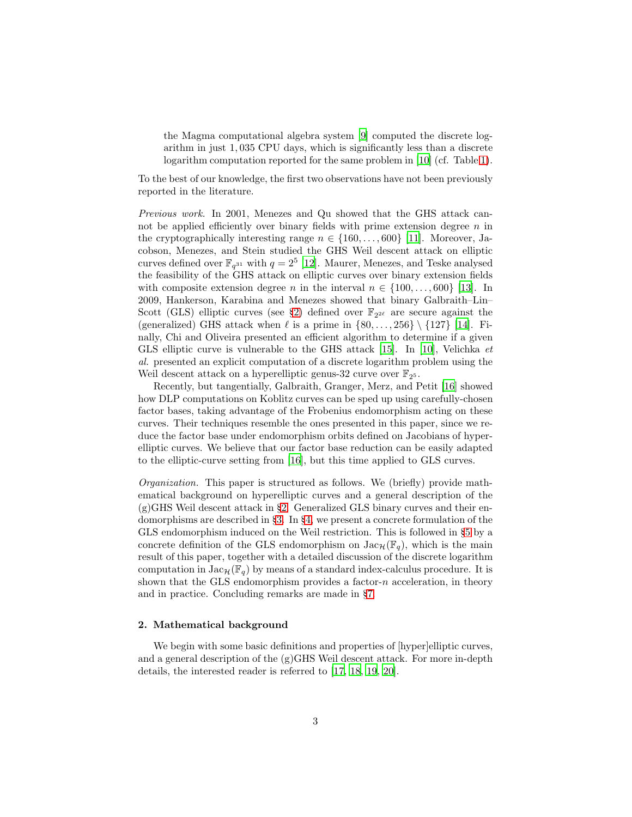the Magma computational algebra system [9] computed the discrete logarithm in just 1, 035 CPU days, which is significantly less than a discrete logarithm computation reported for the same problem in [10] (cf. Table 1).

To the best of our knowledge, the first two observations have not been previously reported in the literature.

Previous work. In 2001, Menezes and Qu showed that the GHS attack cannot be applied efficiently over binary fields with prime extension degree  $n$  in the cryptographically interesting range  $n \in \{160, \ldots, 600\}$  [11]. Moreover, Jacobson, Menezes, and Stein studied the GHS Weil descent attack on elliptic curves defined over  $\mathbb{F}_{q^{31}}$  with  $q=2^5$  [12]. Maurer, Menezes, and Teske analysed the feasibility of the GHS attack on elliptic curves over binary extension fields with composite extension degree n in the interval  $n \in \{100,\ldots,600\}$  [13]. In 2009, Hankerson, Karabina and Menezes showed that binary Galbraith–Lin– Scott (GLS) elliptic curves (see §2) defined over  $\mathbb{F}_{2^{2\ell}}$  are secure against the (generalized) GHS attack when  $\ell$  is a prime in  $\{80, \ldots, 256\} \setminus \{127\}$  [14]. Finally, Chi and Oliveira presented an efficient algorithm to determine if a given GLS elliptic curve is vulnerable to the GHS attack [15]. In [10], Velichka et al. presented an explicit computation of a discrete logarithm problem using the Weil descent attack on a hyperelliptic genus-32 curve over  $\mathbb{F}_{2^5}$ .

Recently, but tangentially, Galbraith, Granger, Merz, and Petit [16] showed how DLP computations on Koblitz curves can be sped up using carefully-chosen factor bases, taking advantage of the Frobenius endomorphism acting on these curves. Their techniques resemble the ones presented in this paper, since we reduce the factor base under endomorphism orbits defined on Jacobians of hyperelliptic curves. We believe that our factor base reduction can be easily adapted to the elliptic-curve setting from [16], but this time applied to GLS curves.

Organization. This paper is structured as follows. We (briefly) provide mathematical background on hyperelliptic curves and a general description of the (g)GHS Weil descent attack in §2. Generalized GLS binary curves and their endomorphisms are described in §3. In §4, we present a concrete formulation of the GLS endomorphism induced on the Weil restriction. This is followed in §5 by a concrete definition of the GLS endomorphism on  $Jac_{\mathcal{H}}(\mathbb{F}_q)$ , which is the main result of this paper, together with a detailed discussion of the discrete logarithm computation in  $Jac_{\mathcal{H}}(\mathbb{F}_q)$  by means of a standard index-calculus procedure. It is shown that the GLS endomorphism provides a factor- $n$  acceleration, in theory and in practice. Concluding remarks are made in §7.

#### 2. Mathematical background

We begin with some basic definitions and properties of [hyper]elliptic curves, and a general description of the (g)GHS Weil descent attack. For more in-depth details, the interested reader is referred to [17, 18, 19, 20].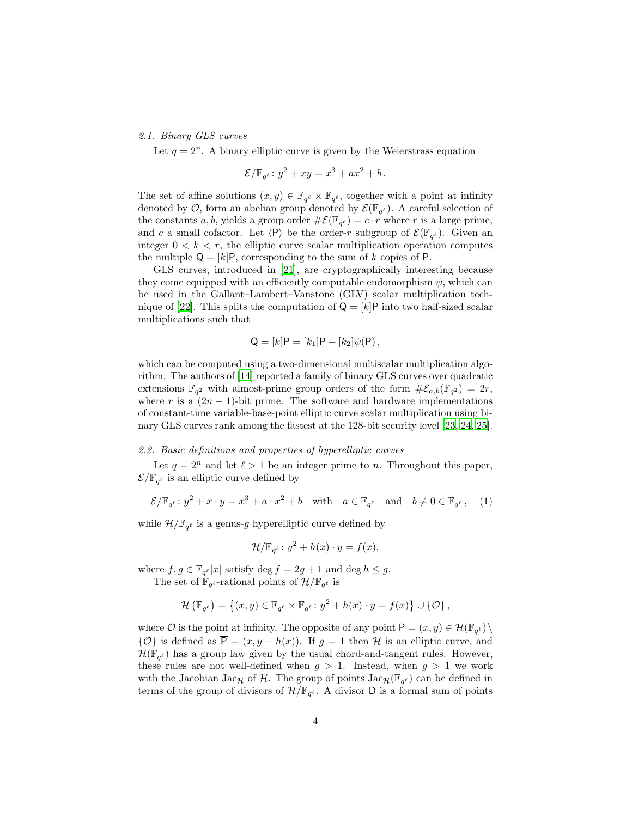#### 2.1. Binary GLS curves

Let  $q = 2^n$ . A binary elliptic curve is given by the Weierstrass equation

$$
\mathcal{E}/\mathbb{F}_{q^{\ell}}: y^2 + xy = x^3 + ax^2 + b.
$$

The set of affine solutions  $(x, y) \in \mathbb{F}_{q^{\ell}} \times \mathbb{F}_{q^{\ell}}$ , together with a point at infinity denoted by  $\mathcal{O}$ , form an abelian group denoted by  $\mathcal{E}(\mathbb{F}_{q^{\ell}})$ . A careful selection of the constants a, b, yields a group order  $\#\mathcal{E}(\mathbb{F}_{q^{\ell}}) = c \cdot r$  where r is a large prime, and c a small cofactor. Let  $\langle P \rangle$  be the order-r subgroup of  $\mathcal{E}(\mathbb{F}_{q^{\ell}})$ . Given an integer  $0 < k < r$ , the elliptic curve scalar multiplication operation computes the multiple  $Q = [k]P$ , corresponding to the sum of k copies of P.

GLS curves, introduced in [21], are cryptographically interesting because they come equipped with an efficiently computable endomorphism  $\psi$ , which can be used in the Gallant–Lambert–Vanstone (GLV) scalar multiplication technique of [22]. This splits the computation of  $Q = [k]P$  into two half-sized scalar multiplications such that

$$
Q = [k]P = [k_1]P + [k_2]\psi(P) ,
$$

which can be computed using a two-dimensional multiscalar multiplication algorithm. The authors of [14] reported a family of binary GLS curves over quadratic extensions  $\mathbb{F}_{q^2}$  with almost-prime group orders of the form  $\#\mathcal{E}_{a,b}(\mathbb{F}_{q^2}) = 2r$ , where r is a  $(2n - 1)$ -bit prime. The software and hardware implementations of constant-time variable-base-point elliptic curve scalar multiplication using binary GLS curves rank among the fastest at the 128-bit security level [23, 24, 25].

#### 2.2. Basic definitions and properties of hyperelliptic curves

Let  $q = 2^n$  and let  $\ell > 1$  be an integer prime to n. Throughout this paper,  $\mathcal{E}/\mathbb{F}_{q^{\ell}}$  is an elliptic curve defined by

$$
\mathcal{E}/\mathbb{F}_{q^{\ell}}: y^2 + x \cdot y = x^3 + a \cdot x^2 + b \quad \text{with} \quad a \in \mathbb{F}_{q^{\ell}} \quad \text{and} \quad b \neq 0 \in \mathbb{F}_{q^{\ell}}, \quad (1)
$$

while  $\mathcal{H}/\mathbb{F}_{q^{\ell}}$  is a genus-*g* hyperelliptic curve defined by

$$
\mathcal{H}/\mathbb{F}_{q^{\ell}}: y^2 + h(x) \cdot y = f(x),
$$

where  $f, g \in \mathbb{F}_{q^{\ell}}[x]$  satisfy  $\deg f = 2g + 1$  and  $\deg h \leq g$ .

The set of  $\mathbb{F}_{q^{\ell}}$ -rational points of  $\mathcal{H}/\mathbb{F}_{q^{\ell}}$  is

$$
\mathcal{H}\left(\mathbb{F}_{q^{\ell}}\right) = \left\{(x, y) \in \mathbb{F}_{q^{\ell}} \times \mathbb{F}_{q^{\ell}} : y^2 + h(x) \cdot y = f(x)\right\} \cup \{\mathcal{O}\},\
$$

where  $\mathcal O$  is the point at infinity. The opposite of any point  $P = (x, y) \in \mathcal H(\mathbb F_{q^{\ell}}) \setminus$  $\{\mathcal{O}\}\$ is defined as  $\overline{P} = (x, y + h(x))$ . If  $g = 1$  then H is an elliptic curve, and  $\mathcal{H}(\mathbb{F}_{q^{\ell}})$  has a group law given by the usual chord-and-tangent rules. However, these rules are not well-defined when  $g > 1$ . Instead, when  $g > 1$  we work with the Jacobian Jac<sub>H</sub> of H. The group of points  $\text{Jac}_H(\mathbb{F}_{q^{\ell}})$  can be defined in terms of the group of divisors of  $\mathcal{H}/\mathbb{F}_{q^{\ell}}$ . A divisor D is a formal sum of points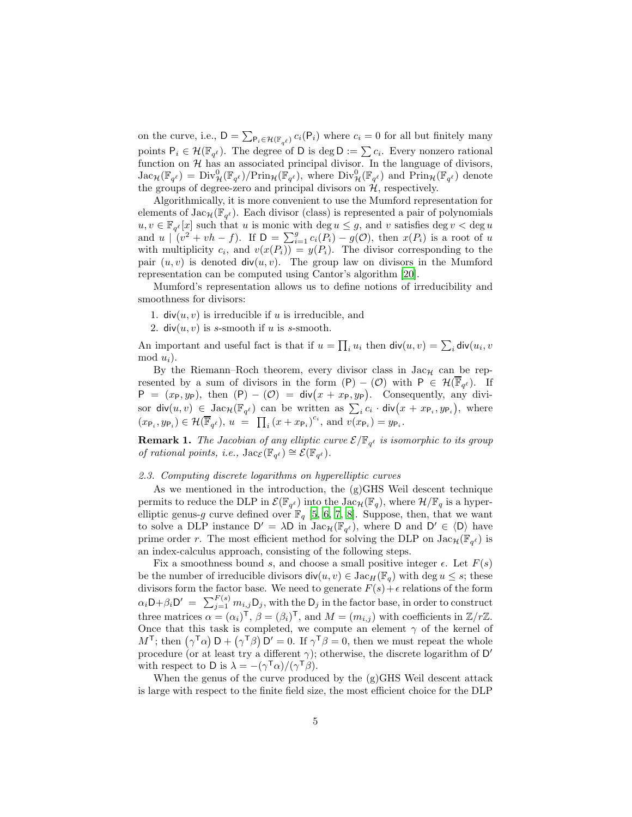on the curve, i.e.,  $D = \sum_{P_i \in \mathcal{H}(\mathbb{F}_{q^{\ell}})} c_i(P_i)$  where  $c_i = 0$  for all but finitely many points  $P_i \in \mathcal{H}(\mathbb{F}_{q^{\ell}})$ . The degree of D is deg  $D := \sum c_i$ . Every nonzero rational function on  $\mathcal H$  has an associated principal divisor. In the language of divisors,  $\text{Jac}_{\mathcal{H}}(\mathbb{F}_{q^{\ell}}) = \text{Div}_{\mathcal{H}}^{0}(\mathbb{F}_{q^{\ell}})/\text{Prin}_{\mathcal{H}}(\mathbb{F}_{q^{\ell}})$ , where  $\text{Div}_{\mathcal{H}}^{0}(\mathbb{F}_{q^{\ell}})$  and  $\text{Prin}_{\mathcal{H}}(\mathbb{F}_{q^{\ell}})$  denote the groups of degree-zero and principal divisors on  $H$ , respectively.

Algorithmically, it is more convenient to use the Mumford representation for elements of  $\text{Jac}_{\mathcal{H}}(\mathbb{F}_{q^{\ell}})$ . Each divisor (class) is represented a pair of polynomials  $u, v \in \mathbb{F}_{q^{\ell}}[x]$  such that u is monic with deg  $u \leq g$ , and v satisfies deg  $v < \deg u$ and  $u \mid (v^2 + vh - f)$ . If  $D = \sum_{i=1}^g c_i(P_i) - g(O)$ , then  $x(P_i)$  is a root of u with multiplicity  $c_i$ , and  $v(x(P_i)) = y(P_i)$ . The divisor corresponding to the pair  $(u, v)$  is denoted  $div(u, v)$ . The group law on divisors in the Mumford representation can be computed using Cantor's algorithm [20].

Mumford's representation allows us to define notions of irreducibility and smoothness for divisors:

- 1.  $div(u, v)$  is irreducible if u is irreducible, and
- 2. div( $u, v$ ) is s-smooth if u is s-smooth.

An important and useful fact is that if  $u = \prod_i u_i$  then  $\text{div}(u, v) = \sum_i \text{div}(u_i, v)$ mod  $u_i$ ).

By the Riemann–Roch theorem, every divisor class in  $Jac_{\mathcal{H}}$  can be represented by a sum of divisors in the form  $(P) - (O)$  with  $P \in \mathcal{H}(\overline{\mathbb{F}}_{q^{\ell}})$ . If  $P = (x_P, y_P)$ , then  $(P) - (O) = \text{div}(x + x_P, y_P)$ . Consequently, any divisor  $\mathsf{div}(u, v) \in \mathsf{Jac}_{\mathcal{H}}(\mathbb{F}_{q^{\ell}})$  can be written as  $\sum_i c_i \cdot \mathsf{div}(x + x_{\mathsf{P}_i}, y_{\mathsf{P}_i}),$  where  $(x_{\mathsf{P}_i}, y_{\mathsf{P}_i}) \in \mathcal{H}(\overline{\mathbb{F}}_{q^{\ell}}), u = \prod_i (x + x_{\mathsf{P}_i})^{c_i}$ , and  $v(x_{\mathsf{P}_i}) = y_{\mathsf{P}_i}$ .

**Remark 1.** The Jacobian of any elliptic curve  $\mathcal{E}/\mathbb{F}_{q^{\ell}}$  is isomorphic to its group of rational points, i.e.,  $\text{Jac}_{\mathcal{E}}(\mathbb{F}_{q^{\ell}}) \cong \mathcal{E}(\mathbb{F}_{q^{\ell}}).$ 

#### 2.3. Computing discrete logarithms on hyperelliptic curves

As we mentioned in the introduction, the  $(g)$ GHS Weil descent technique permits to reduce the DLP in  $\mathcal{E}(\mathbb{F}_{q^{\ell}})$  into the  $Jac_{\mathcal{H}}(\mathbb{F}_{q})$ , where  $\mathcal{H}/\mathbb{F}_{q}$  is a hyperelliptic genus-g curve defined over  $\mathbb{F}_q$  [5, 6, 7, 8]. Suppose, then, that we want to solve a DLP instance  $D' = \lambda D$  in  $Jac_{\mathcal{H}}(\mathbb{F}_{q^{\ell}})$ , where D and  $D' \in \langle D \rangle$  have prime order r. The most efficient method for solving the DLP on  $\text{Jac}_{\mathcal{H}}(\mathbb{F}_{q^{\ell}})$  is an index-calculus approach, consisting of the following steps.

Fix a smoothness bound s, and choose a small positive integer  $\epsilon$ . Let  $F(s)$ be the number of irreducible divisors  $\text{div}(u, v) \in \text{Jac}_H(\mathbb{F}_q)$  with  $\text{deg } u \leq s$ ; these divisors form the factor base. We need to generate  $F(s) + \epsilon$  relations of the form  $\alpha_i \mathsf{D} + \beta_i \mathsf{D}' = \sum_{j=1}^{F(s)} m_{i,j} \mathsf{D}_j$ , with the  $\mathsf{D}_j$  in the factor base, in order to construct three matrices  $\alpha = (\alpha_i)^{\mathsf{T}}, \beta = (\beta_i)^{\mathsf{T}},$  and  $M = (m_{i,j})$  with coefficients in  $\mathbb{Z}/r\mathbb{Z}$ . Once that this task is completed, we compute an element  $\gamma$  of the kernel of  $M^{\mathsf{T}}$ ; then  $(\gamma^{\mathsf{T}}\alpha)$   $D + (\gamma^{\mathsf{T}}\beta)$   $D' = 0$ . If  $\gamma^{\mathsf{T}}\beta = 0$ , then we must repeat the whole procedure (or at least try a different  $\gamma$ ); otherwise, the discrete logarithm of D' with respect to D is  $\lambda = -(\gamma^{\mathsf{T}}\alpha)/(\gamma^{\mathsf{T}}\beta)$ .

When the genus of the curve produced by the  $(g)$ GHS Weil descent attack is large with respect to the finite field size, the most efficient choice for the DLP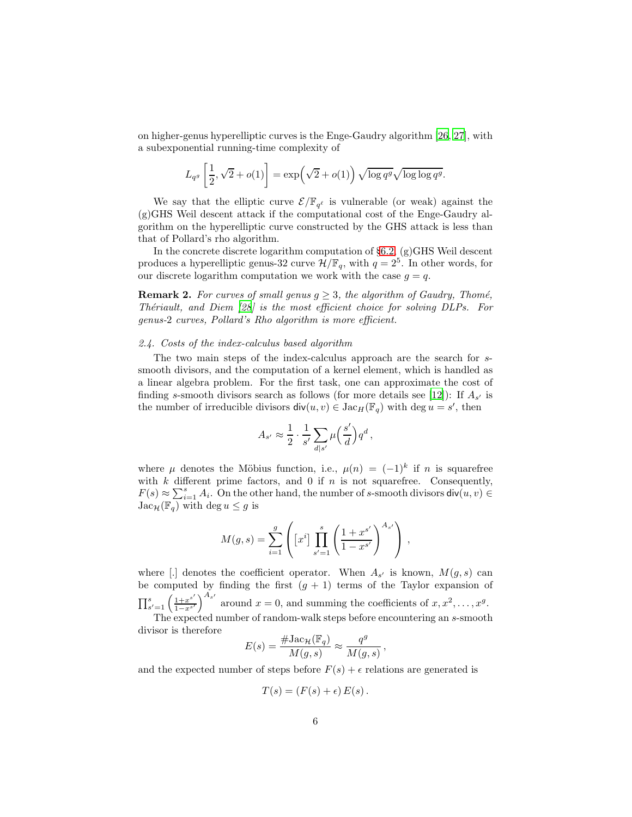on higher-genus hyperelliptic curves is the Enge-Gaudry algorithm [26, 27], with a subexponential running-time complexity of

$$
L_{q^g}\left[\frac{1}{2},\sqrt{2}+o(1)\right]=\exp\left(\sqrt{2}+o(1)\right)\sqrt{\log q^g}\sqrt{\log\log q^g}.
$$

We say that the elliptic curve  $\mathcal{E}/\mathbb{F}_{q^{\ell}}$  is vulnerable (or weak) against the (g)GHS Weil descent attack if the computational cost of the Enge-Gaudry algorithm on the hyperelliptic curve constructed by the GHS attack is less than that of Pollard's rho algorithm.

In the concrete discrete logarithm computation of  $\S6.2$ ,  $(g)$ GHS Weil descent produces a hyperelliptic genus-32 curve  $\mathcal{H}/\mathbb{F}_q$ , with  $q=2^5$ . In other words, for our discrete logarithm computation we work with the case  $q = q$ .

**Remark 2.** For curves of small genus  $g \geq 3$ , the algorithm of Gaudry, Thomé, Thériault, and Diem  $[28]$  is the most efficient choice for solving DLPs. For genus-2 curves, Pollard's Rho algorithm is more efficient.

#### 2.4. Costs of the index-calculus based algorithm

The two main steps of the index-calculus approach are the search for ssmooth divisors, and the computation of a kernel element, which is handled as a linear algebra problem. For the first task, one can approximate the cost of finding s-smooth divisors search as follows (for more details see [12]): If  $A_{s'}$  is the number of irreducible divisors  $\text{div}(u, v) \in \text{Jac}_H(\mathbb{F}_q)$  with  $\text{deg } u = s'$ , then

$$
A_{s'} \approx \frac{1}{2} \cdot \frac{1}{s'} \sum_{d|s'} \mu\left(\frac{s'}{d}\right) q^d\,,
$$

where  $\mu$  denotes the Möbius function, i.e.,  $\mu(n) = (-1)^k$  if n is squarefree with  $k$  different prime factors, and 0 if  $n$  is not squarefree. Consequently,  $F(s) \approx \sum_{i=1}^{s} A_i$ . On the other hand, the number of s-smooth divisors  $\text{div}(u, v) \in$  $Jac_{\mathcal{H}}(\mathbb{F}_q)$  with  $deg u \leq g$  is

$$
M(g,s) = \sum_{i=1}^{g} \left( \left[ x^{i} \right] \prod_{s'=1}^{s} \left( \frac{1 + x^{s'}}{1 - x^{s'}} \right)^{A_{s'}} \right) ,
$$

where [.] denotes the coefficient operator. When  $A_{s'}$  is known,  $M(g, s)$  can be computed by finding the first  $(g + 1)$  terms of the Taylor expansion of  $\prod_{s'=1}^{s} \left( \frac{1+x^{s'}}{1-x^{s'}} \right)$  $\frac{1+x^{s'}}{1-x^{s'}}\bigg)^{A_{s'}}$  around  $x=0$ , and summing the coefficients of  $x, x^2, \ldots, x^g$ . The expected number of random-walk steps before encountering an s-smooth

The expected number of random-wark steps before encountering an *s*-smooth divisor is therefore\n
$$
H_{12}^{C}(\mathbb{F})
$$

$$
E(s) = \frac{\# \text{Jac}_{\mathcal{H}}(\mathbb{F}_q)}{M(g, s)} \approx \frac{q^g}{M(g, s)}
$$

,

and the expected number of steps before  $F(s) + \epsilon$  relations are generated is

$$
T(s) = (F(s) + \epsilon) E(s).
$$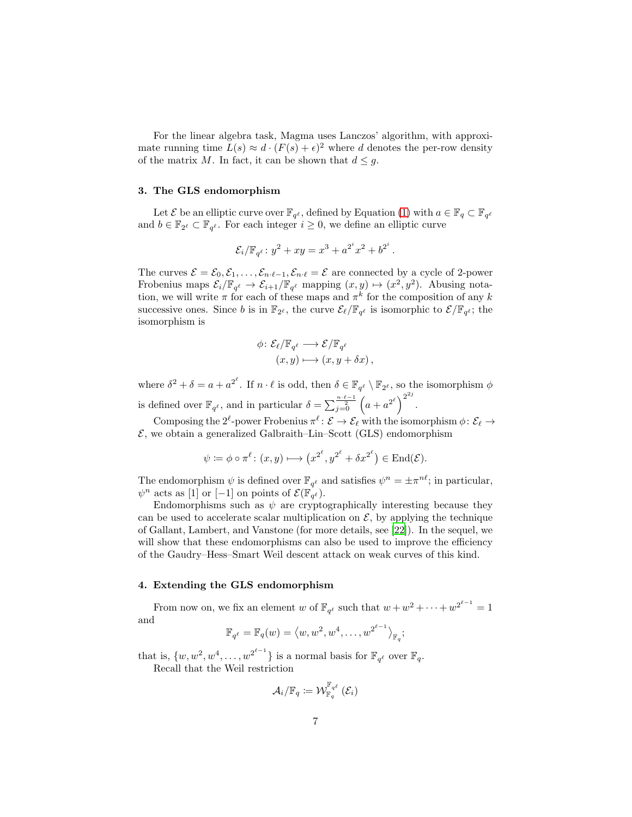For the linear algebra task, Magma uses Lanczos' algorithm, with approximate running time  $L(s) \approx d \cdot (F(s) + \epsilon)^2$  where d denotes the per-row density of the matrix M. In fact, it can be shown that  $d \leq q$ .

#### 3. The GLS endomorphism

Let  $\mathcal E$  be an elliptic curve over  $\mathbb F_{q^{\ell}}$ , defined by Equation (1) with  $a \in \mathbb F_q \subset \mathbb F_{q^{\ell}}$ and  $b \in \mathbb{F}_{2^{\ell}} \subset \mathbb{F}_{q^{\ell}}$ . For each integer  $i \geq 0$ , we define an elliptic curve

$$
\mathcal{E}_i / \mathbb{F}_{q^{\ell}} : y^2 + xy = x^3 + a^{2^i} x^2 + b^{2^i}
$$

.

The curves  $\mathcal{E} = \mathcal{E}_0, \mathcal{E}_1, \ldots, \mathcal{E}_{n \cdot \ell-1}, \mathcal{E}_{n \cdot \ell} = \mathcal{E}$  are connected by a cycle of 2-power Frobenius maps  $\mathcal{E}_i/\mathbb{F}_{q^{\ell}} \to \mathcal{E}_{i+1}/\mathbb{F}_{q^{\ell}}$  mapping  $(x, y) \mapsto (x^2, y^2)$ . Abusing notation, we will write  $\pi$  for each of these maps and  $\pi^k$  for the composition of any k successive ones. Since b is in  $\mathbb{F}_{2^{\ell}}$ , the curve  $\mathcal{E}_{\ell}/\mathbb{F}_{q^{\ell}}$  is isomorphic to  $\mathcal{E}/\mathbb{F}_{q^{\ell}}$ ; the isomorphism is

$$
\begin{aligned} \phi \colon \mathcal{E}_{\ell}/\mathbb{F}_{q^{\ell}} &\longrightarrow \mathcal{E}/\mathbb{F}_{q^{\ell}} \\ (x, y) &\longmapsto (x, y + \delta x) \,, \end{aligned}
$$

where  $\delta^2 + \delta = a + a^{2^{\ell}}$ . If  $n \cdot \ell$  is odd, then  $\delta \in \mathbb{F}_{q^{\ell}} \setminus \mathbb{F}_{2^{\ell}}$ , so the isomorphism  $\phi$ is defined over  $\mathbb{F}_{q^{\ell}}$ , and in particular  $\delta = \sum_{j=0}^{\frac{n \cdot \ell-1}{2}} \left( a + a^{2^{\ell}} \right)^{2^{2j}}$ .

Composing the 2<sup> $\ell$ </sup>-power Frobenius  $\pi^{\ell}$ :  $\mathcal{E} \to \mathcal{E}_{\ell}$  with the isomorphism  $\phi \colon \mathcal{E}_{\ell} \to$  $\mathcal{E}$ , we obtain a generalized Galbraith–Lin–Scott (GLS) endomorphism

$$
\psi \coloneqq \phi \circ \pi^{\ell} \colon (x, y) \longmapsto (x^{2^{\ell}}, y^{2^{\ell}} + \delta x^{2^{\ell}}) \in \text{End}(\mathcal{E}).
$$

The endomorphism  $\psi$  is defined over  $\mathbb{F}_{q^{\ell}}$  and satisfies  $\psi^n = \pm \pi^{n\ell}$ ; in particular,  $\psi^n$  acts as [1] or [-1] on points of  $\mathcal{E}(\mathbb{F}_{q^{\ell}})$ .

Endomorphisms such as  $\psi$  are cryptographically interesting because they can be used to accelerate scalar multiplication on  $\mathcal{E}$ , by applying the technique of Gallant, Lambert, and Vanstone (for more details, see [22]). In the sequel, we will show that these endomorphisms can also be used to improve the efficiency of the Gaudry–Hess–Smart Weil descent attack on weak curves of this kind.

#### 4. Extending the GLS endomorphism

From now on, we fix an element w of  $\mathbb{F}_{q^{\ell}}$  such that  $w + w^2 + \cdots + w^{2^{\ell-1}} = 1$ and

$$
\mathbb{F}_{q^{\ell}} = \mathbb{F}_q(w) = \langle w, w^2, w^4, \dots, w^{2^{\ell-1}} \rangle_{\mathbb{F}_q};
$$

that is,  $\{w, w^2, w^4, \dots, w^{2^{\ell-1}}\}$  is a normal basis for  $\mathbb{F}_{q^{\ell}}$  over  $\mathbb{F}_q$ .

Recall that the Weil restriction

$$
\mathcal{A}_{i}/\mathbb{F}_{q} \coloneqq \mathcal{W}_{\mathbb{F}_{q}}^{\mathbb{F}_{q^{\ell}}}\left(\mathcal{E}_{i}\right)
$$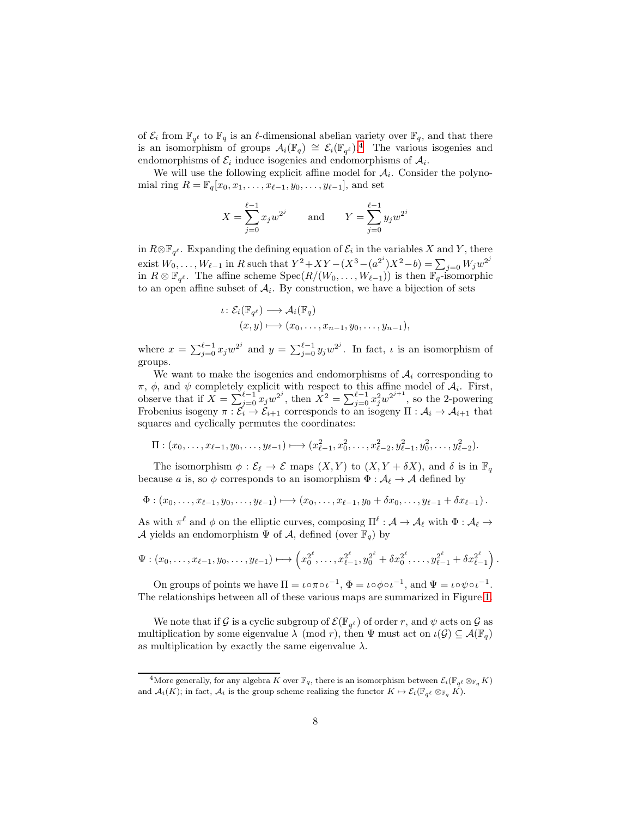of  $\mathcal{E}_i$  from  $\mathbb{F}_{q^{\ell}}$  to  $\mathbb{F}_q$  is an  $\ell$ -dimensional abelian variety over  $\mathbb{F}_q$ , and that there is an isomorphism of groups  $\mathcal{A}_i(\mathbb{F}_q) \cong \mathcal{E}_i(\mathbb{F}_{q^{\ell}})^{4}$ . The various isogenies and endomorphisms of  $\mathcal{E}_i$  induce isogenies and endomorphisms of  $\mathcal{A}_i$ .

We will use the following explicit affine model for  $A_i$ . Consider the polynomial ring  $R = \mathbb{F}_q[x_0, x_1, \ldots, x_{\ell-1}, y_0, \ldots, y_{\ell-1}],$  and set

$$
X = \sum_{j=0}^{\ell-1} x_j w^{2^j} \quad \text{and} \quad Y = \sum_{j=0}^{\ell-1} y_j w^{2^j}
$$

in  $R \otimes \mathbb{F}_{q^{\ell}}$ . Expanding the defining equation of  $\mathcal{E}_i$  in the variables X and Y, there exist  $W_0, \ldots, W_{\ell-1}$  in R such that  $Y^2 + XY - (X^3 - (a^{2^i})X^2 - b) = \sum_{j=0} W_j w^{2^j}$ in  $R \otimes \mathbb{F}_{q^{\ell}}$ . The affine scheme  $Spec(R/(W_0, \ldots, W_{\ell-1}))$  is then  $\mathbb{F}_q$ -isomorphic to an open affine subset of  $A_i$ . By construction, we have a bijection of sets

$$
\iota\colon \mathcal{E}_i(\mathbb{F}_{q^{\ell}}) \longrightarrow \mathcal{A}_i(\mathbb{F}_q)
$$
  

$$
(x, y) \longmapsto (x_0, \dots, x_{n-1}, y_0, \dots, y_{n-1}),
$$

where  $x = \sum_{j=0}^{\ell-1} x_j w^{2^j}$  and  $y = \sum_{j=0}^{\ell-1} y_j w^{2^j}$ . In fact,  $\iota$  is an isomorphism of groups.

We want to make the isogenies and endomorphisms of  $A_i$  corresponding to  $\pi$ ,  $\phi$ , and  $\psi$  completely explicit with respect to this affine model of  $\mathcal{A}_i$ . First, observe that if  $\hat{X} = \sum_{j=0}^{\ell-1} x_j w^{2^j}$ , then  $\hat{X}^2 = \sum_{j=0}^{\ell-1} x_j^2 w^{2^{j+1}}$ , so the 2-powering Frobenius isogeny  $\pi : \mathcal{E}_i \to \mathcal{E}_{i+1}$  corresponds to an isogeny  $\Pi : \mathcal{A}_i \to \mathcal{A}_{i+1}$  that squares and cyclically permutes the coordinates:

$$
\Pi : (x_0, \ldots, x_{\ell-1}, y_0, \ldots, y_{\ell-1}) \longmapsto (x_{\ell-1}^2, x_0^2, \ldots, x_{\ell-2}^2, y_{\ell-1}^2, y_0^2, \ldots, y_{\ell-2}^2).
$$

The isomorphism  $\phi : \mathcal{E}_{\ell} \to \mathcal{E}$  maps  $(X, Y)$  to  $(X, Y + \delta X)$ , and  $\delta$  is in  $\mathbb{F}_q$ because a is, so  $\phi$  corresponds to an isomorphism  $\Phi : \mathcal{A}_{\ell} \to \mathcal{A}$  defined by

$$
\Phi: (x_0,\ldots,x_{\ell-1},y_0,\ldots,y_{\ell-1}) \longmapsto (x_0,\ldots,x_{\ell-1},y_0+\delta x_0,\ldots,y_{\ell-1}+\delta x_{\ell-1}).
$$

As with  $\pi^{\ell}$  and  $\phi$  on the elliptic curves, composing  $\Pi^{\ell} : A \to A_{\ell}$  with  $\Phi : A_{\ell} \to$ A yields an endomorphism  $\Psi$  of A, defined (over  $\mathbb{F}_q$ ) by

$$
\Psi: (x_0,\ldots,x_{\ell-1},y_0,\ldots,y_{\ell-1}) \longmapsto \left(x_0^{2^{\ell}},\ldots,x_{\ell-1}^{2^{\ell}},y_0^{2^{\ell}}+\delta x_0^{2^{\ell}},\ldots,y_{\ell-1}^{2^{\ell}}+\delta x_{\ell-1}^{2^{\ell}}\right).
$$

On groups of points we have  $\Pi = \iota \circ \pi \circ \iota^{-1}$ ,  $\Phi = \iota \circ \phi \circ \iota^{-1}$ , and  $\Psi = \iota \circ \psi \circ \iota^{-1}$ . The relationships between all of these various maps are summarized in Figure 1.

We note that if G is a cyclic subgroup of  $\mathcal{E}(\mathbb{F}_{q^{\ell}})$  of order r, and  $\psi$  acts on  $\mathcal{G}$  as multiplication by some eigenvalue  $\lambda \pmod{r}$ , then  $\Psi$  must act on  $\iota(\mathcal{G}) \subseteq \mathcal{A}(\mathbb{F}_q)$ as multiplication by exactly the same eigenvalue  $\lambda$ .

<sup>&</sup>lt;sup>4</sup>More generally, for any algebra K over  $\mathbb{F}_q$ , there is an isomorphism between  $\mathcal{E}_i(\mathbb{F}_{q^{\ell}} \otimes_{\mathbb{F}_q} K)$ and  $\mathcal{A}_i(K)$ ; in fact,  $\mathcal{A}_i$  is the group scheme realizing the functor  $K \mapsto \mathcal{E}_i(\mathbb{F}_{q^{\ell}} \otimes_{\mathbb{F}_q} K)$ .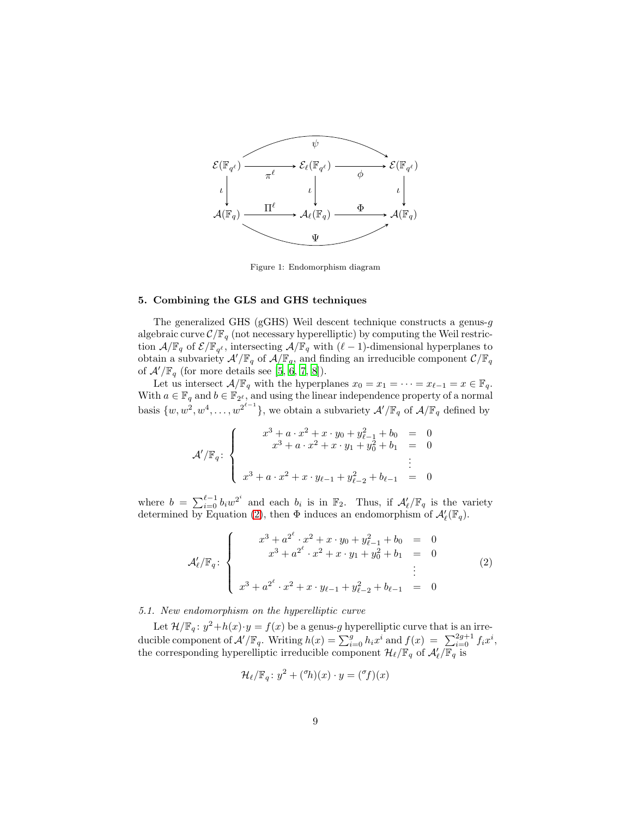

Figure 1: Endomorphism diagram

#### 5. Combining the GLS and GHS techniques

The generalized GHS (gGHS) Weil descent technique constructs a genus-g algebraic curve  $\mathcal{C}/\mathbb{F}_q$  (not necessary hyperelliptic) by computing the Weil restriction  $\mathcal{A}/\mathbb{F}_q$  of  $\mathcal{E}/\mathbb{F}_{q^{\ell}}$ , intersecting  $\mathcal{A}/\mathbb{F}_q$  with  $(\ell-1)$ -dimensional hyperplanes to obtain a subvariety  $\mathcal{A}'/\mathbb{F}_q$  of  $\mathcal{A}/\mathbb{F}_q,$  and finding an irreducible component  $\mathcal{C}/\mathbb{F}_q$ of  $\mathcal{A}'/\mathbb{F}_q$  (for more details see [5, 6, 7, 8]).

Let us intersect  $\mathcal{A}/\mathbb{F}_q$  with the hyperplanes  $x_0 = x_1 = \cdots = x_{\ell-1} = x \in \mathbb{F}_q$ . With  $a \in \mathbb{F}_q$  and  $b \in \mathbb{F}_{2^{\ell}}$ , and using the linear independence property of a normal basis  $\{w, w^2, w^4, \ldots, w^{2^{\ell-1}}\}$ , we obtain a subvariety  $\mathcal{A}'/\mathbb{F}_q$  of  $\mathcal{A}/\mathbb{F}_q$  defined by

$$
\mathcal{A}'/\mathbb{F}_q: \begin{cases} x^3 + a \cdot x^2 + x \cdot y_0 + y_{\ell-1}^2 + b_0 = 0 \\ x^3 + a \cdot x^2 + x \cdot y_1 + y_0^2 + b_1 = 0 \\ \vdots \\ x^3 + a \cdot x^2 + x \cdot y_{\ell-1} + y_{\ell-2}^2 + b_{\ell-1} = 0 \end{cases}
$$

where  $b = \sum_{i=0}^{\ell-1} b_i w^{2^i}$  and each  $b_i$  is in  $\mathbb{F}_2$ . Thus, if  $\mathcal{A}'_{\ell}/\mathbb{F}_q$  is the variety determined by Equation (2), then  $\Phi$  induces an endomorphism of  $\mathcal{A}'_{\ell}(\mathbb{F}_q)$ .

$$
\mathcal{A}'_{\ell}/\mathbb{F}_{q}: \begin{cases} x^{3} + a^{2^{\ell}} \cdot x^{2} + x \cdot y_{0} + y_{\ell-1}^{2} + b_{0} & = 0\\ x^{3} + a^{2^{\ell}} \cdot x^{2} + x \cdot y_{1} + y_{0}^{2} + b_{1} & = 0\\ x^{3} + a^{2^{\ell}} \cdot x^{2} + x \cdot y_{\ell-1} + y_{\ell-2}^{2} + b_{\ell-1} & = 0 \end{cases}
$$
(2)

5.1. New endomorphism on the hyperelliptic curve

Let  $\mathcal{H}/\mathbb{F}_q$ :  $y^2 + h(x) \cdot y = f(x)$  be a genus-g hyperelliptic curve that is an irreducible component of  $\mathcal{A}'/\mathbb{F}_q$ . Writing  $h(x) = \sum_{i=0}^g h_i x^i$  and  $f(x) = \sum_{i=0}^{2g+1} f_i x^i$ , the corresponding hyperelliptic irreducible component  $\mathcal{H}_{\ell}/\mathbb{F}_q$  of  $\mathcal{A}'_{\ell}/\mathbb{F}_q$  is

$$
\mathcal{H}_{\ell}/\mathbb{F}_q: y^2 + {^{\sigma}h}(x) \cdot y = {^{\sigma}f}(x)
$$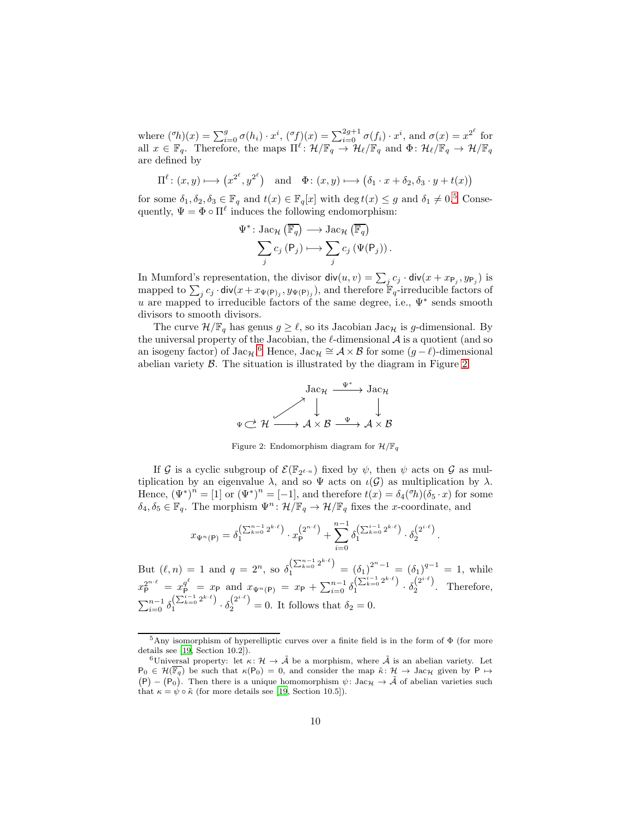where  $({}^{\sigma}h)(x) = \sum_{i=0}^{g} \sigma(h_i) \cdot x^i$ ,  $({}^{\sigma}f)(x) = \sum_{i=0}^{2g+1} \sigma(f_i) \cdot x^i$ , and  $\sigma(x) = x^{2^{\ell}}$  for all  $x \in \mathbb{F}_q$ . Therefore, the maps  $\Pi^{\ell} \colon \mathcal{H}/\mathbb{F}_q \to \mathcal{H}_{\ell}/\mathbb{F}_q$  and  $\Phi \colon \mathcal{H}_{\ell}/\mathbb{F}_q \to \mathcal{H}/\mathbb{F}_q$ are defined by

$$
\Pi^{\ell} : (x, y) \longmapsto (x^{2^{\ell}}, y^{2^{\ell}}) \text{ and } \Phi : (x, y) \longmapsto (\delta_1 \cdot x + \delta_2, \delta_3 \cdot y + t(x))
$$

for some  $\delta_1, \delta_2, \delta_3 \in \mathbb{F}_q$  and  $t(x) \in \mathbb{F}_q[x]$  with  $\deg t(x) \leq g$  and  $\delta_1 \neq 0.5$  Consequently,  $\Psi = \Phi \circ \Pi^{\ell}$  induces the following endomorphism:

$$
\Psi^* \colon \text{Jac}_{\mathcal{H}} (\overline{\mathbb{F}_q}) \longrightarrow \text{Jac}_{\mathcal{H}} (\overline{\mathbb{F}_q})
$$

$$
\sum_j c_j (\mathsf{P}_j) \longmapsto \sum_j c_j (\Psi(\mathsf{P}_j)).
$$

In Mumford's representation, the divisor  $\mathsf{div}(u, v) = \sum_j c_j \cdot \mathsf{div}(x + x_{\mathsf{P}_j}, y_{\mathsf{P}_j})$  is mapped to  $\sum_j c_j \cdot \text{div}(x + x_{\Psi(\mathsf{P})_j}, y_{\Psi(\mathsf{P})_j})$ , and therefore  $\mathbb{F}_q$ -irreducible factors of u are mapped to irreducible factors of the same degree, i.e.,  $\Psi^*$  sends smooth divisors to smooth divisors.

The curve  $\mathcal{H}/\mathbb{F}_q$  has genus  $g \geq \ell$ , so its Jacobian Jac<sub>H</sub> is g-dimensional. By the universal property of the Jacobian, the  $\ell$ -dimensional  $\mathcal A$  is a quotient (and so an isogeny factor) of Jac<sub>H</sub>.<sup>6</sup> Hence, Jac<sub>H</sub> ≅  $A \times B$  for some  $(g - \ell)$ -dimensional abelian variety B. The situation is illustrated by the diagram in Figure 2.



Figure 2: Endomorphism diagram for  $\mathcal{H}/\mathbb{F}_q$ 

If G is a cyclic subgroup of  $\mathcal{E}(\mathbb{F}_{2^{\ell-n}})$  fixed by  $\psi$ , then  $\psi$  acts on G as multiplication by an eigenvalue  $\lambda$ , and so  $\Psi$  acts on  $\iota(\mathcal{G})$  as multiplication by  $\lambda$ . Hence,  $(\Psi^*)^n = [1]$  or  $(\Psi^*)^n = [-1]$ , and therefore  $t(x) = \delta_4({}^{\sigma}h)(\delta_5 \cdot x)$  for some  $\delta_4, \delta_5 \in \mathbb{F}_q$ . The morphism  $\Psi^n : \mathcal{H}/\mathbb{F}_q \to \mathcal{H}/\mathbb{F}_q$  fixes the *x*-coordinate, and

$$
x_{\Psi^{n}(\mathsf{P})} = \delta_1^{\left(\sum_{k=0}^{n-1} 2^{k \cdot \ell}\right)} \cdot x_{\mathsf{P}}^{\left(2^{n \cdot \ell}\right)} + \sum_{i=0}^{n-1} \delta_1^{\left(\sum_{k=0}^{i-1} 2^{k \cdot \ell}\right)} \cdot \delta_2^{\left(2^{i \cdot \ell}\right)}.
$$

But  $(\ell, n) = 1$  and  $q = 2^n$ , so  $\delta_1^{\left(\sum_{k=0}^{n-1} 2^{k \cdot \ell}\right)} = (\delta_1)^{2^{n}-1} = (\delta_1)^{q-1} = 1$ , while  $x_{\mathsf{P}}^{2^{n \cdot \ell}} = x_{\mathsf{P}}^{\mathsf{q}^{\ell}} = x_{\mathsf{P}} \text{ and } x_{\Psi^{n}(\mathsf{P})} = x_{\mathsf{P}} + \sum_{i=0}^{n-1} \delta_{1}^{\left(\sum_{k=0}^{i-1} 2^{k \cdot \ell}\right)} \cdot \delta_{2}^{\left(2^{i \cdot \ell}\right)}$ . Therefore,  $\sum_{i=0}^{n-1} \delta_1^{\left(\sum_{k=0}^{i-1} 2^{k \cdot \ell}\right)} \cdot \delta_2^{\left(2^{i \cdot \ell}\right)} = 0$ . It follows that  $\delta_2 = 0$ .

<sup>5</sup>Any isomorphism of hyperelliptic curves over a finite field is in the form of Φ (for more details see [19, Section 10.2]).

<sup>&</sup>lt;sup>6</sup>Universal property: let  $\kappa: \mathcal{H} \to \tilde{\mathcal{A}}$  be a morphism, where  $\tilde{\mathcal{A}}$  is an abelian variety. Let  $(P) - (P_0)$ . Then there is a unique homomorphism  $\psi$ : Jac<sub>H</sub>  $\rightarrow$   $\tilde{A}$  of abelian varieties such  $P_0 \in \mathcal{H}(\overline{\mathbb{F}_q})$  be such that  $\kappa(P_0) = 0$ , and consider the map  $\tilde{\kappa}: \mathcal{H} \to \text{Jac}_{\mathcal{H}}$  given by  $P \mapsto$ that  $\kappa = \psi \circ \tilde{\kappa}$  (for more details see [19, Section 10.5]).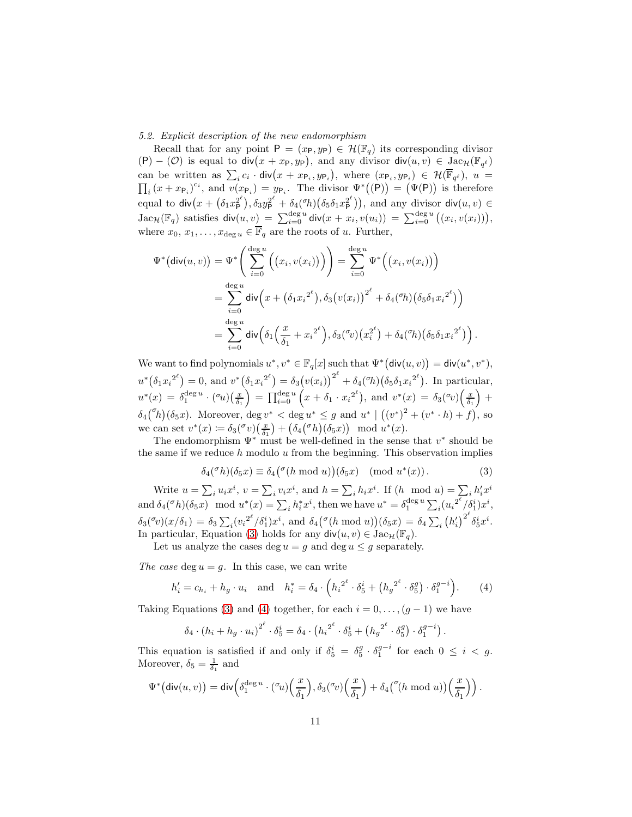5.2. Explicit description of the new endomorphism

Recall that for any point  $P = (x_P, y_P) \in \mathcal{H}(\mathbb{F}_q)$  its corresponding divisor  $(P) - (O)$  is equal to  $div(x + xp, yp)$ , and any divisor  $div(u, v) \in \text{Jac}_{\mathcal{H}}(\mathbb{F}_{q^{\ell}})$ can be written as  $\sum_i c_i \cdot \text{div}(x + x_{\mathsf{P}_i}, y_{\mathsf{P}_i}), \text{ where } (x_{\mathsf{P}_i}, y_{\mathsf{P}_i}) \in \mathcal{H}(\overline{\mathbb{F}}_{q^{\ell}}), u =$  $\prod_i (x + x_{\mathsf{P}_i})^{c_i}$ , and  $v(x_{\mathsf{P}_i}) = y_{\mathsf{P}_i}$ . The divisor  $\Psi^*((\mathsf{P})) = (\Psi(\mathsf{P}))$  is therefore i equal to  $\text{div}(x + (\delta_1 x \frac{2}{\rho}^{\rho}), \delta_3 y \frac{2}{\rho}^{\rho} + \delta_4(\sigma h)(\delta_5 \delta_1 x \frac{2}{\rho}^{\rho}))$ , and any divisor  $\text{div}(u, v) \in$  $\text{Jac}_\mathcal{H}(\mathbb{F}_q)$  satisfies  $\textsf{div}(u,v) = \sum_{i=0}^{\text{deg }u} \textsf{div}(x+x_i,v(u_i)) = \sum_{i=0}^{\text{deg }u} ((x_i,v(x_i))),$ where  $x_0, x_1, \ldots, x_{\deg u} \in \overline{\mathbb{F}}_q$  are the roots of u. Further,

$$
\Psi^* (\text{div}(u, v)) = \Psi^* \Bigg( \sum_{i=0}^{\deg u} \Big( \big( x_i, v(x_i) \big) \Big) \Bigg) = \sum_{i=0}^{\deg u} \Psi^* \Big( \big( x_i, v(x_i) \big) \Big) \n= \sum_{i=0}^{\deg u} \text{div} \Big( x + \big( \delta_1 x_i^{2^{\ell}} \big), \delta_3 \big( v(x_i) \big)^{2^{\ell}} + \delta_4 \big( \delta_1 \big) \big( \delta_5 \delta_1 x_i^{2^{\ell}} \big) \Big) \n= \sum_{i=0}^{\deg u} \text{div} \Big( \delta_1 \Big( \frac{x}{\delta_1} + x_i^{2^{\ell}} \Big), \delta_3 \big( \delta_2 v \big) \Big( x_i^{2^{\ell}} \Big) + \delta_4 \big( \delta_1 \big) \big( \delta_5 \delta_1 x_i^{2^{\ell}} \big) \Bigg).
$$

We want to find polynomials  $u^*, v^* \in \mathbb{F}_q[x]$  such that  $\Psi^*(\text{div}(u, v)) = \text{div}(u^*, v^*),$  $u^*(\delta_1x_i^{2^{\ell}}) = 0$ , and  $v^*(\delta_1x_i^{2^{\ell}}) = \delta_3(v(x_i))^{2^{\ell}} + \delta_4({}^{\sigma}h)(\delta_5\delta_1x_i^{2^{\ell}})$ . In particular,  $u^*(x) = \delta_1^{\deg u} \cdot {(\sigma_u)(\frac{x}{\delta_1})} = \prod_{i=0}^{\deg u} (x + \delta_1 \cdot x_i^{2^{\ell}}), \text{ and } v^*(x) = \delta_3(\sigma_v)(\frac{x}{\delta_1}) +$  $\delta_4({}^{\sigma}h)(\delta_5x)$ . Moreover,  $\deg v^* < \deg u^* \leq g$  and  $u^* \mid ((v^*)^2 + (v^* \cdot h) + f)$ , so we can set  $v^*(x) := \delta_3(\sigma v) \left(\frac{x}{\delta_1}\right) + \left(\delta_4(\sigma h)(\delta_5 x)\right) \mod u^*(x)$ .

The endomorphism  $\Psi^*$  must be well-defined in the sense that  $v^*$  should be the same if we reduce  $h$  modulo  $u$  from the beginning. This observation implies

$$
\delta_4({}^\sigma h)(\delta_5 x) \equiv \delta_4({}^\sigma (h \bmod u))(\delta_5 x) \pmod{u^*(x)}.
$$
 (3)

Write  $u = \sum_i u_i x^i$ ,  $v = \sum_i v_i x^i$ , and  $h = \sum_i h_i x^i$ . If  $(h \mod u) = \sum_i h'_i x^i$ and  $\delta_4({}^{\sigma}h)(\delta_5x) \mod u^*(x) = \sum_i h_i^*x^i$ , then we have  $u^* = \delta_1^{\text{deg }u} \sum_i (u_i^{2^{\ell}}/\delta_1^i)x^i$ ,  $\delta_3({}^{\sigma}v)(x/\delta_1) = \delta_3 \sum_i (v_i^{2^{\ell}}/\delta_1^i)x^i$ , and  $\delta_4({}^{\sigma}(h \bmod u))(\delta_5 x) = \delta_4 \sum_i (h'_i)^{2^{\ell}} \delta_5^i x^i$ . In particular, Equation (3) holds for any  $\text{div}(u, v) \in \text{Jac}_{\mathcal{H}}(\mathbb{F}_q)$ .

Let us analyze the cases deg  $u = g$  and deg  $u \leq g$  separately.

The case deg  $u = g$ . In this case, we can write

$$
h'_{i} = c_{h_{i}} + h_{g} \cdot u_{i} \quad \text{and} \quad h_{i}^{*} = \delta_{4} \cdot \left( h_{i}^{2^{\ell}} \cdot \delta_{5}^{i} + \left( h_{g}^{2^{\ell}} \cdot \delta_{5}^{g} \right) \cdot \delta_{1}^{g-i} \right). \tag{4}
$$

Taking Equations (3) and (4) together, for each  $i = 0, \ldots, (g - 1)$  we have

$$
\delta_4 \cdot (h_i + h_g \cdot u_i)^{2^{\ell}} \cdot \delta_5^i = \delta_4 \cdot (h_i^{2^{\ell}} \cdot \delta_5^i + (h_g^{2^{\ell}} \cdot \delta_5^g) \cdot \delta_1^{g-i}).
$$

This equation is satisfied if and only if  $\delta_5^i = \delta_5^g \cdot \delta_1^{g-i}$  for each  $0 \leq i < g$ . Moreover,  $\delta_5 = \frac{1}{\delta_1}$  and

$$
\Psi^*\big(\mathsf{div}(u,v)\big) = \mathsf{div}\Big(\delta_1^{\deg u}\cdot({}^\sigma\! u)\Big(\frac{x}{\delta_1}\Big),\delta_3({}^\sigma\! v)\Big(\frac{x}{\delta_1}\Big) + \delta_4\big({}^\sigma\! (h \bmod u)\big)\Big(\frac{x}{\delta_1}\Big)\Big)\,.
$$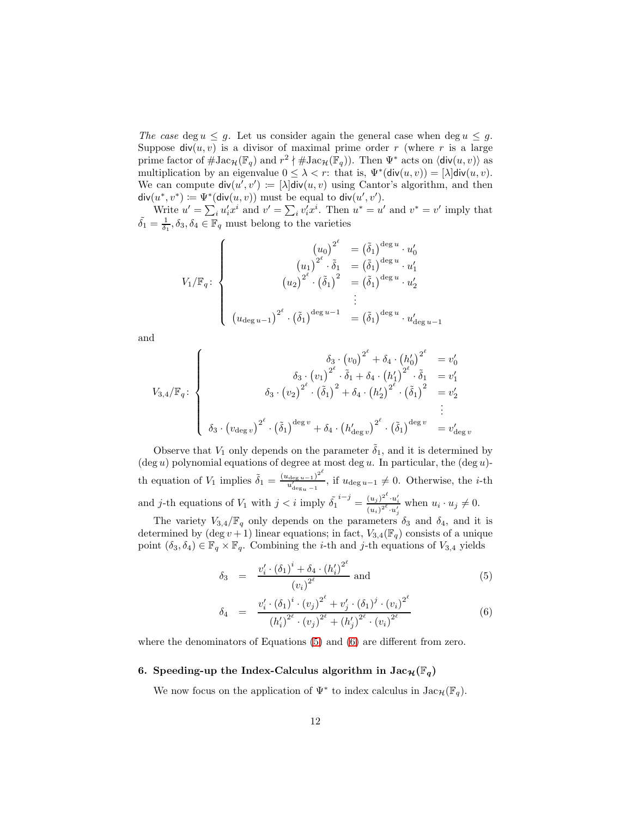The case deg  $u \leq g$ . Let us consider again the general case when deg  $u \leq g$ . Suppose  $div(u, v)$  is a divisor of maximal prime order r (where r is a large prime factor of  $\#\text{Jac}_{\mathcal{H}}(\mathbb{F}_q)$  and  $r^2 \nmid \#\text{Jac}_{\mathcal{H}}(\mathbb{F}_q)$ ). Then  $\Psi^*$  acts on  $\langle \text{div}(u, v) \rangle$  as multiplication by an eigenvalue  $0 \leq \lambda < r$ : that is,  $\Psi^*(\text{div}(u, v)) = [\lambda] \text{div}(u, v)$ . We can compute  $\text{div}(u', v') := [\lambda] \text{div}(u, v)$  using Cantor's algorithm, and then  $\mathsf{div}(u^*, v^*) \coloneqq \Psi^*(\mathsf{div}(u, v))$  must be equal to  $\mathsf{div}(u', v').$ 

Write  $u' = \sum_i u'_i x^i$  and  $v' = \sum_i v'_i x^i$ . Then  $u^* = u'$  and  $v^* = v'$  imply that  $\tilde{\delta}_1 = \frac{1}{\delta_1}, \delta_3, \delta_4 \in \mathbb{F}_q$  must belong to the varieties

$$
V_{1}/\mathbb{F}_{q}: \begin{cases} \left(u_{0}\right)^{2^{\ell}} &= \left(\tilde{\delta}_{1}\right)^{\deg u} \cdot u_{0}^{\prime} \\ \left(u_{1}\right)^{2^{\ell}} \cdot \tilde{\delta}_{1} &= \left(\tilde{\delta}_{1}\right)^{\deg u} \cdot u_{1}^{\prime} \\ \left(u_{2}\right)^{2^{\ell}} \cdot \left(\tilde{\delta}_{1}\right)^{2} &= \left(\tilde{\delta}_{1}\right)^{\deg u} \cdot u_{2}^{\prime} \\ \vdots \\ \left(u_{\deg u-1}\right)^{2^{\ell}} \cdot \left(\tilde{\delta}_{1}\right)^{\deg u-1} &= \left(\tilde{\delta}_{1}\right)^{\deg u} \cdot u_{\deg u-1}^{\prime} \end{cases}
$$

and

$$
V_{3,4}/\mathbb{F}_{q}: \begin{cases} \delta_{3} \cdot (v_{0})^{2^{\ell}} + \delta_{4} \cdot (h'_{0})^{2^{\ell}} & = v'_{0} \\ \delta_{3} \cdot (v_{1})^{2^{\ell}} \cdot \tilde{\delta}_{1} + \delta_{4} \cdot (h'_{1})^{2^{\ell}} \cdot \tilde{\delta}_{1} & = v'_{1} \\ \delta_{3} \cdot (v_{2})^{2^{\ell}} \cdot (\tilde{\delta}_{1})^{2} + \delta_{4} \cdot (h'_{2})^{2^{\ell}} \cdot (\tilde{\delta}_{1})^{2} & = v'_{2} \\ \vdots & \vdots & \vdots \\ \delta_{3} \cdot (v_{\text{deg } v})^{2^{\ell}} \cdot (\tilde{\delta}_{1})^{\text{deg } v} + \delta_{4} \cdot (h'_{\text{deg } v})^{2^{\ell}} \cdot (\tilde{\delta}_{1})^{\text{deg } v} & = v'_{\text{deg } v} \end{cases}
$$

Observe that  $V_1$  only depends on the parameter  $\delta_1$ , and it is determined by  $(\text{deg } u)$  polynomial equations of degree at most  $\text{deg } u$ . In particular, the  $(\text{deg } u)$ th equation of  $V_1$  implies  $\tilde{\delta}_1 = \frac{(u_{\text{deg }u-1})^2}{u!}$  $\frac{u_{\text{deg }u-1}}{u'_{\text{deg }u-1}}$ , if  $u_{\text{deg }u-1} \neq 0$ . Otherwise, the *i*-th and j-th equations of  $V_1$  with  $j < i$  imply  $\tilde{\delta_1}^{i-j} = \frac{(u_j)^{2^\ell} \cdot u'_i}{(u_i)^{2^\ell} \cdot u'_j}$  when  $u_i \cdot u_j \neq 0$ .

The variety  $V_{3,4}/\mathbb{F}_q$  only depends on the parameters  $\delta_3$  and  $\delta_4$ , and it is determined by  $(\deg v + 1)$  linear equations; in fact,  $V_{3,4}(\mathbb{F}_q)$  consists of a unique point  $(\delta_3, \delta_4) \in \mathbb{F}_q \times \mathbb{F}_q$ . Combining the *i*-th and *j*-th equations of  $V_{3,4}$  yields

$$
\delta_3 = \frac{v_i' \cdot (\delta_1)^i + \delta_4 \cdot (h_i')^{2^{\ell}}}{(v_i)^{2^{\ell}}} \text{ and } \tag{5}
$$

$$
\delta_4 = \frac{v_i' \cdot (\delta_1)^i \cdot (v_j)^{2^\ell} + v_j' \cdot (\delta_1)^j \cdot (v_i)^{2^\ell}}{(h_i')^{2^\ell} \cdot (v_j)^{2^\ell} + (h_j')^{2^\ell} \cdot (v_i)^{2^\ell}}
$$
(6)

where the denominators of Equations (5) and (6) are different from zero.

#### 6. Speeding-up the Index-Calculus algorithm in  $\text{Jac}_{\mathcal{H}}(\mathbb{F}_q)$

We now focus on the application of  $\Psi^*$  to index calculus in  $\text{Jac}_{\mathcal{H}}(\mathbb{F}_q)$ .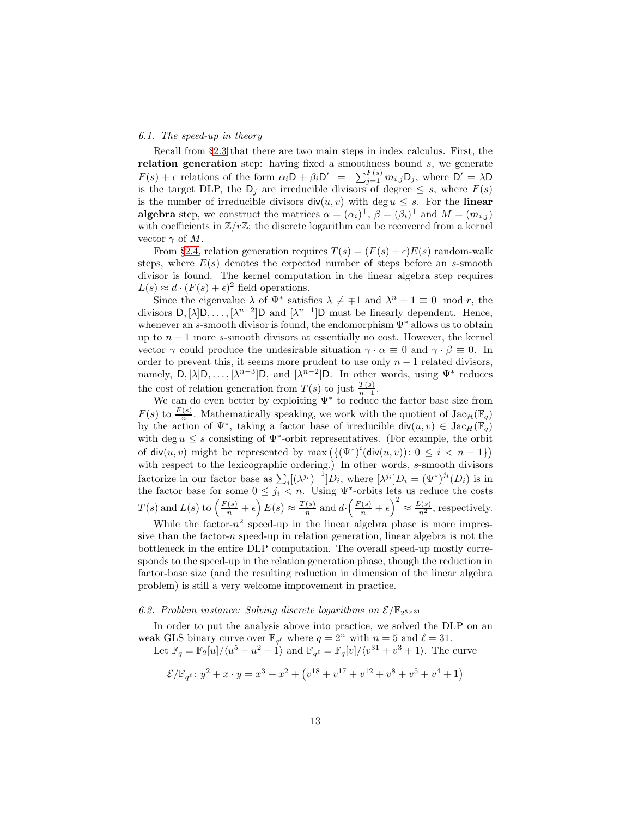#### 6.1. The speed-up in theory

Recall from §2.3 that there are two main steps in index calculus. First, the relation generation step: having fixed a smoothness bound  $s$ , we generate  $F(s) + \epsilon$  relations of the form  $\alpha_i D + \beta_i D' = \sum_{j=1}^{F(s)} m_{i,j} D_j$ , where  $D' = \lambda D$ is the target DLP, the  $D_j$  are irreducible divisors of degree  $\leq s$ , where  $F(s)$ is the number of irreducible divisors  $div(u, v)$  with  $deg u \leq s$ . For the linear **algebra** step, we construct the matrices  $\alpha = (\alpha_i)^T$ ,  $\beta = (\beta_i)^T$  and  $M = (m_{i,j})$ with coefficients in  $\mathbb{Z}/r\mathbb{Z}$ ; the discrete logarithm can be recovered from a kernel vector  $\gamma$  of M.

From §2.4, relation generation requires  $T(s) = (F(s) + \epsilon)E(s)$  random-walk steps, where  $E(s)$  denotes the expected number of steps before an s-smooth divisor is found. The kernel computation in the linear algebra step requires  $L(s) \approx d \cdot (F(s) + \epsilon)^2$  field operations.

Since the eigenvalue  $\lambda$  of  $\Psi^*$  satisfies  $\lambda \neq \pm 1$  and  $\lambda^n \pm 1 \equiv 0 \mod r$ , the divisors  $D, [\lambda]D, \ldots, [\lambda^{n-2}]D$  and  $[\lambda^{n-1}]D$  must be linearly dependent. Hence, whenever an s-smooth divisor is found, the endomorphism Ψ<sup>∗</sup> allows us to obtain up to  $n-1$  more s-smooth divisors at essentially no cost. However, the kernel vector  $\gamma$  could produce the undesirable situation  $\gamma \cdot \alpha \equiv 0$  and  $\gamma \cdot \beta \equiv 0$ . In order to prevent this, it seems more prudent to use only  $n - 1$  related divisors, namely,  $D, [\lambda]D, \ldots, [\lambda^{n-3}]D$ , and  $[\lambda^{n-2}]D$ . In other words, using  $\Psi^*$  reduces the cost of relation generation from  $T(s)$  to just  $\frac{T(s)}{n-1}$ .

We can do even better by exploiting Ψ<sup>∗</sup> to reduce the factor base size from  $F(s)$  to  $\frac{F(s)}{n}$ . Mathematically speaking, we work with the quotient of  $\text{Jac}_{\mathcal{H}}(\mathbb{F}_q)$ by the action of  $\Psi^*$ , taking a factor base of irreducible  $\text{div}(u, v) \in \text{Jac}_H(\mathbb{F}_q)$ with deg  $u \leq s$  consisting of  $\Psi^*$ -orbit representatives. (For example, the orbit of  $\mathsf{div}(u, v)$  might be represented by  $\max\left(\{\left(\Psi^*\right)^i(\mathsf{div}(u, v))\colon 0\leq i < n-1\}\right)$ with respect to the lexicographic ordering.) In other words, s-smooth divisors factorize in our factor base as  $\sum_i [(\lambda^{j_i})^{-1}]D_i$ , where  $[\lambda^{j_i}]D_i = (\Psi^*)^{j_i}(D_i)$  is in the factor base for some  $0 \leq j_i < n$ . Using  $\Psi^*$ -orbits lets us reduce the costs  $T(s)$  and  $L(s)$  to  $\left(\frac{F(s)}{n} + \epsilon\right) E(s) \approx \frac{T(s)}{n}$  $\frac{f(s)}{n}$  and  $d \cdot \left(\frac{F(s)}{n} + \epsilon\right)^2 \approx \frac{L(s)}{n^2}$ , respectively.

While the factor- $n^2$  speed-up in the linear algebra phase is more impressive than the factor- $n$  speed-up in relation generation, linear algebra is not the bottleneck in the entire DLP computation. The overall speed-up mostly corresponds to the speed-up in the relation generation phase, though the reduction in factor-base size (and the resulting reduction in dimension of the linear algebra problem) is still a very welcome improvement in practice.

### 6.2. Problem instance: Solving discrete logarithms on  $\mathcal{E}/\mathbb{F}_{2^{5\times31}}$

In order to put the analysis above into practice, we solved the DLP on an weak GLS binary curve over  $\mathbb{F}_{q^{\ell}}$  where  $q = 2^n$  with  $n = 5$  and  $\ell = 31$ .

Let  $\mathbb{F}_q = \mathbb{F}_2[u]/\langle u^5 + u^2 + \hat{1}\rangle$  and  $\mathbb{F}_{q^{\ell}} = \mathbb{F}_q[v]/\langle v^{31} + v^3 + 1\rangle$ . The curve

$$
\mathcal{E}/\mathbb{F}_{q^{\ell}}: y^2 + x \cdot y = x^3 + x^2 + (v^{18} + v^{17} + v^{12} + v^8 + v^5 + v^4 + 1)
$$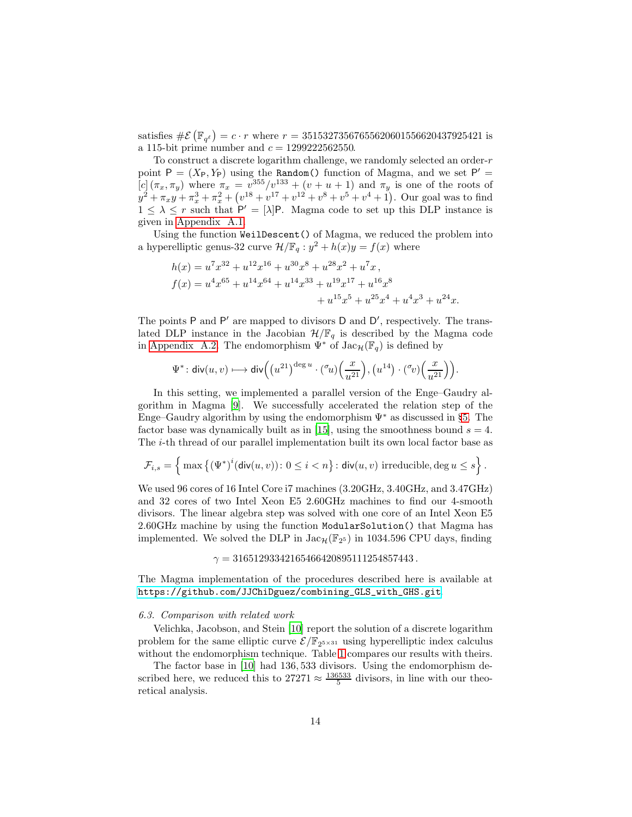satisfies  $\#\mathcal{E}(\mathbb{F}_{q^{\ell}}) = c \cdot r$  where  $r = 35153273567655620601556620437925421$  is a 115-bit prime number and  $c = 1299222562550$ .

To construct a discrete logarithm challenge, we randomly selected an order-r point  $P = (X_P, Y_P)$  using the Random() function of Magma, and we set  $P' =$ [c]  $(\pi_x, \pi_y)$  where  $\pi_x = v^{355}/v^{133} + (v + u + 1)$  and  $\pi_y$  is one of the roots of  $y^2 + \pi_x y + \pi_x^3 + \pi_x^2 + (v^{18} + v^{17} + v^{12} + v^8 + v^5 + v^4 + 1)$ . Our goal was to find  $1 \leq \lambda \leq r$  such that  $P' = [\lambda]P$ . Magma code to set up this DLP instance is given in Appendix A.1.

Using the function WeilDescent() of Magma, we reduced the problem into a hyperelliptic genus-32 curve  $\mathcal{H}/\mathbb{F}_q : y^2 + h(x)y = f(x)$  where

$$
h(x) = u7x32 + u12x16 + u30x8 + u28x2 + u7x,\nf(x) = u4x65 + u14x64 + u14x33 + u19x17 + u16x8+ u15x5 + u25x4 + u4x3 + u24x.
$$

The points P and P' are mapped to divisors D and D', respectively. The translated DLP instance in the Jacobian  $\mathcal{H}/\mathbb{F}_q$  is described by the Magma code in Appendix A.2. The endomorphism  $\Psi^*$  of  $\text{Jac}_\mathcal{H}(\mathbb{F}_q)$  is defined by

$$
\Psi^*\colon \textup{div}(u,v)\longmapsto \textup{div}\Big(\big(u^{21}\big)^{\textup{deg}\,u}\cdot({}^\sigma\!u)\Big(\frac{x}{u^{21}}\Big),\big(u^{14}\big)\cdot({}^\sigma\!v)\Big(\frac{x}{u^{21}}\Big)\Big).
$$

In this setting, we implemented a parallel version of the Enge–Gaudry algorithm in Magma [9]. We successfully accelerated the relation step of the Enge–Gaudry algorithm by using the endomorphism  $\Psi^*$  as discussed in §5. The factor base was dynamically built as in [15], using the smoothness bound  $s = 4$ . The i-th thread of our parallel implementation built its own local factor base as

$$
\mathcal{F}_{i,s} = \left\{ \max \left\{ (\Psi^*)^i (\text{div}(u,v)) \colon 0 \leq i < n \right\} : \text{div}(u,v) \text{ irreducible, } \deg u \leq s \right\}.
$$

We used 96 cores of 16 Intel Core i7 machines (3.20GHz, 3.40GHz, and 3.47GHz) and 32 cores of two Intel Xeon E5 2.60GHz machines to find our 4-smooth divisors. The linear algebra step was solved with one core of an Intel Xeon E5 2.60GHz machine by using the function ModularSolution() that Magma has implemented. We solved the DLP in  $\text{Jac}_{\mathcal{H}}(\mathbb{F}_{2^5})$  in 1034.596 CPU days, finding

 $\gamma = 31651293342165466420895111254857443$ .

The Magma implementation of the procedures described here is available at [https://github.com/JJChiDguez/combining\\_GLS\\_with\\_GHS.git](https://github.com/JJChiDguez/combining_GLS_with_GHS.git).

#### 6.3. Comparison with related work

Velichka, Jacobson, and Stein [10] report the solution of a discrete logarithm problem for the same elliptic curve  $\mathcal{E}/\mathbb{F}_{2^{5\times31}}$  using hyperelliptic index calculus without the endomorphism technique. Table 1 compares our results with theirs.

The factor base in [10] had 136, 533 divisors. Using the endomorphism described here, we reduced this to  $27271 \approx \frac{136533}{5}$  divisors, in line with our theoretical analysis.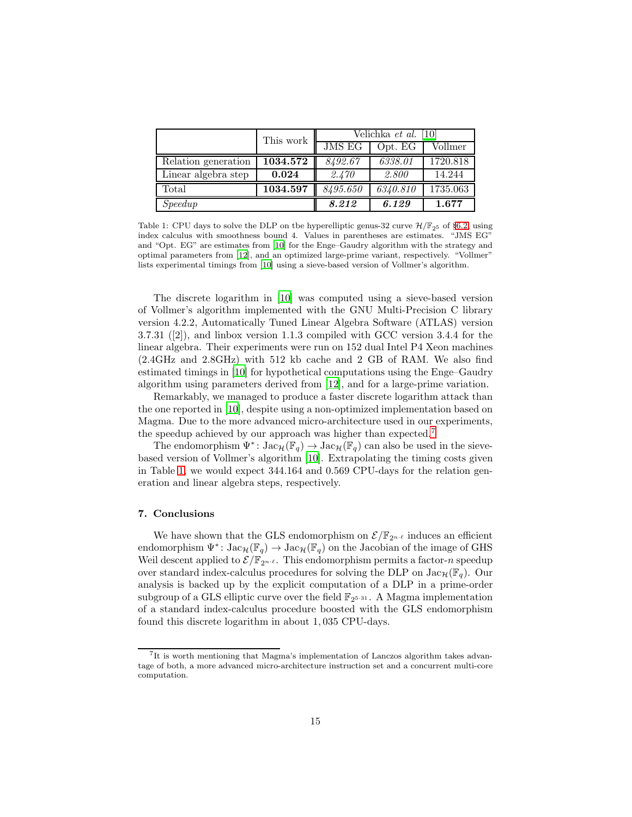|                     | This work | Velichka et al. [10] |          |          |
|---------------------|-----------|----------------------|----------|----------|
|                     |           | <b>JMS EG</b>        | Opt. EG  | Vollmer  |
| Relation generation | 1034.572  | 8492.67              | 6338.01  | 1720.818 |
| Linear algebra step | 0.024     | 2.470                | 2.800    | 14.244   |
| Total               | 1034.597  | 8495.650             | 6340.810 | 1735.063 |
| Speedup             |           | 8.212                | 6.129    | 1.677    |

Table 1: CPU days to solve the DLP on tbe hyperelliptic genus-32 curve  $\mathcal{H}/\mathbb{F}_{25}$  of §6.2, using index calculus with smoothness bound 4. Values in parentheses are estimates. "JMS EG" and "Opt. EG" are estimates from [10] for the Enge–Gaudry algorithm with the strategy and optimal parameters from [12], and an optimized large-prime variant, respectively. "Vollmer" lists experimental timings from [10] using a sieve-based version of Vollmer's algorithm.

The discrete logarithm in [10] was computed using a sieve-based version of Vollmer's algorithm implemented with the GNU Multi-Precision C library version 4.2.2, Automatically Tuned Linear Algebra Software (ATLAS) version 3.7.31 ([2]), and linbox version 1.1.3 compiled with GCC version 3.4.4 for the linear algebra. Their experiments were run on 152 dual Intel P4 Xeon machines (2.4GHz and 2.8GHz) with 512 kb cache and 2 GB of RAM. We also find estimated timings in [10] for hypothetical computations using the Enge–Gaudry algorithm using parameters derived from [12], and for a large-prime variation.

Remarkably, we managed to produce a faster discrete logarithm attack than the one reported in [10], despite using a non-optimized implementation based on Magma. Due to the more advanced micro-architecture used in our experiments, the speedup achieved by our approach was higher than expected.<sup>7</sup>

The endomorphism  $\Psi^*$ :  $\text{Jac}_{\mathcal{H}}(\mathbb{F}_q) \to \text{Jac}_{\mathcal{H}}(\mathbb{F}_q)$  can also be used in the sievebased version of Vollmer's algorithm [10]. Extrapolating the timing costs given in Table 1, we would expect 344.164 and 0.569 CPU-days for the relation generation and linear algebra steps, respectively.

#### 7. Conclusions

We have shown that the GLS endomorphism on  $\mathcal{E}/\mathbb{F}_{2^{n-\ell}}$  induces an efficient endomorphism  $\Psi^*$ :  $\text{Jac}_{\mathcal{H}}(\mathbb{F}_q) \to \text{Jac}_{\mathcal{H}}(\mathbb{F}_q)$  on the Jacobian of the image of GHS Weil descent applied to  $\mathcal{E}/\mathbb{F}_{2^{n-\ell}}$ . This endomorphism permits a factor-*n* speedup over standard index-calculus procedures for solving the DLP on  $Jac_{\mathcal{H}}(\mathbb{F}_q)$ . Our analysis is backed up by the explicit computation of a DLP in a prime-order subgroup of a GLS elliptic curve over the field  $\mathbb{F}_{2^{5\cdot 31}}$ . A Magma implementation of a standard index-calculus procedure boosted with the GLS endomorphism found this discrete logarithm in about 1, 035 CPU-days.

<sup>7</sup> It is worth mentioning that Magma's implementation of Lanczos algorithm takes advantage of both, a more advanced micro-architecture instruction set and a concurrent multi-core computation.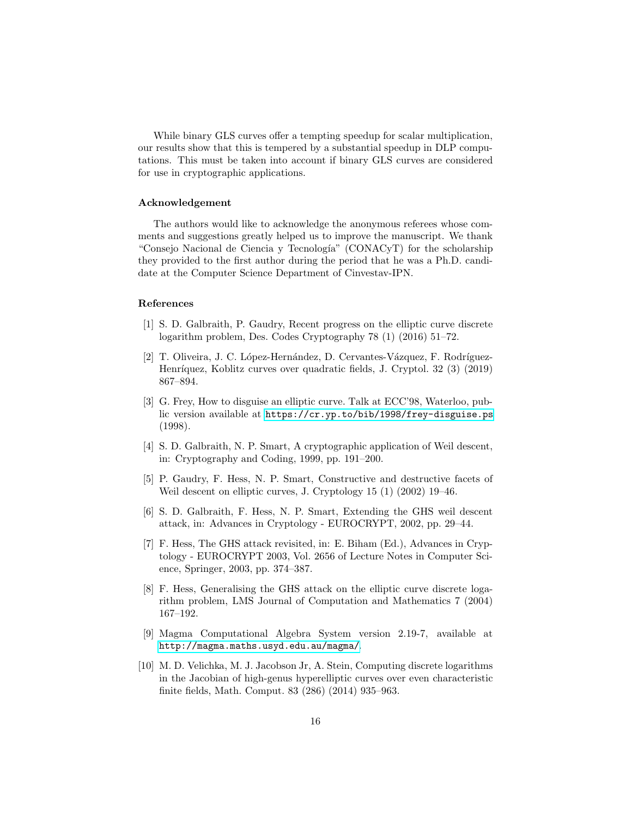While binary GLS curves offer a tempting speedup for scalar multiplication, our results show that this is tempered by a substantial speedup in DLP computations. This must be taken into account if binary GLS curves are considered for use in cryptographic applications.

#### Acknowledgement

The authors would like to acknowledge the anonymous referees whose comments and suggestions greatly helped us to improve the manuscript. We thank "Consejo Nacional de Ciencia y Tecnología" (CONACyT) for the scholarship they provided to the first author during the period that he was a Ph.D. candidate at the Computer Science Department of Cinvestav-IPN.

#### References

- [1] S. D. Galbraith, P. Gaudry, Recent progress on the elliptic curve discrete logarithm problem, Des. Codes Cryptography 78 (1) (2016) 51–72.
- [2] T. Oliveira, J. C. López-Hernández, D. Cervantes-Vázquez, F. Rodríguez-Henríquez, Koblitz curves over quadratic fields, J. Cryptol. 32 (3) (2019) 867–894.
- [3] G. Frey, How to disguise an elliptic curve. Talk at ECC'98, Waterloo, public version available at <https://cr.yp.to/bib/1998/frey-disguise.ps> (1998).
- [4] S. D. Galbraith, N. P. Smart, A cryptographic application of Weil descent, in: Cryptography and Coding, 1999, pp. 191–200.
- [5] P. Gaudry, F. Hess, N. P. Smart, Constructive and destructive facets of Weil descent on elliptic curves, J. Cryptology 15 (1) (2002) 19–46.
- [6] S. D. Galbraith, F. Hess, N. P. Smart, Extending the GHS weil descent attack, in: Advances in Cryptology - EUROCRYPT, 2002, pp. 29–44.
- [7] F. Hess, The GHS attack revisited, in: E. Biham (Ed.), Advances in Cryptology - EUROCRYPT 2003, Vol. 2656 of Lecture Notes in Computer Science, Springer, 2003, pp. 374–387.
- [8] F. Hess, Generalising the GHS attack on the elliptic curve discrete logarithm problem, LMS Journal of Computation and Mathematics 7 (2004) 167–192.
- [9] Magma Computational Algebra System version 2.19-7, available at <http://magma.maths.usyd.edu.au/magma/>.
- [10] M. D. Velichka, M. J. Jacobson Jr, A. Stein, Computing discrete logarithms in the Jacobian of high-genus hyperelliptic curves over even characteristic finite fields, Math. Comput. 83 (286) (2014) 935–963.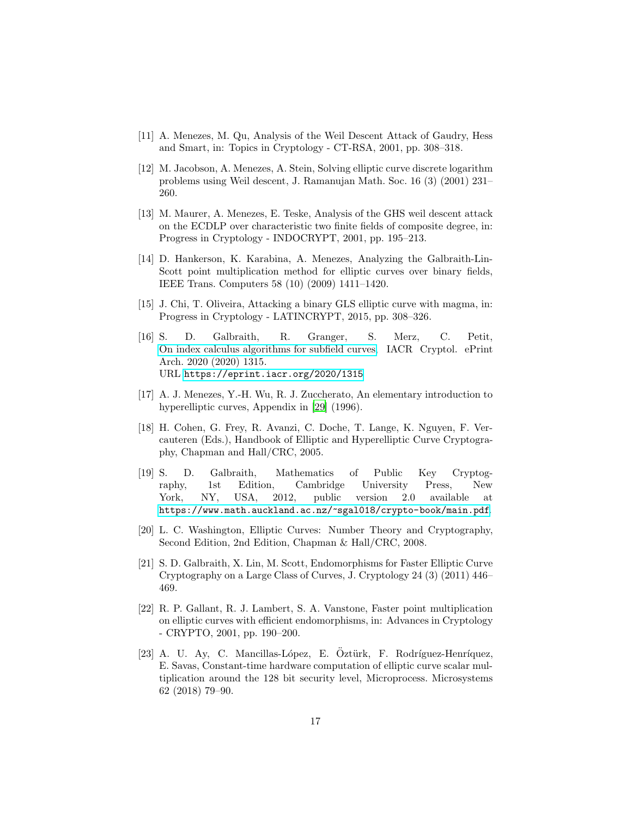- [11] A. Menezes, M. Qu, Analysis of the Weil Descent Attack of Gaudry, Hess and Smart, in: Topics in Cryptology - CT-RSA, 2001, pp. 308–318.
- [12] M. Jacobson, A. Menezes, A. Stein, Solving elliptic curve discrete logarithm problems using Weil descent, J. Ramanujan Math. Soc. 16 (3) (2001) 231– 260.
- [13] M. Maurer, A. Menezes, E. Teske, Analysis of the GHS weil descent attack on the ECDLP over characteristic two finite fields of composite degree, in: Progress in Cryptology - INDOCRYPT, 2001, pp. 195–213.
- [14] D. Hankerson, K. Karabina, A. Menezes, Analyzing the Galbraith-Lin-Scott point multiplication method for elliptic curves over binary fields, IEEE Trans. Computers 58 (10) (2009) 1411–1420.
- [15] J. Chi, T. Oliveira, Attacking a binary GLS elliptic curve with magma, in: Progress in Cryptology - LATINCRYPT, 2015, pp. 308–326.
- [16] S. D. Galbraith, R. Granger, S. Merz, C. Petit, [On index calculus algorithms for subfield curves,](https://eprint.iacr.org/2020/1315) IACR Cryptol. ePrint Arch. 2020 (2020) 1315. URL <https://eprint.iacr.org/2020/1315>
- [17] A. J. Menezes, Y.-H. Wu, R. J. Zuccherato, An elementary introduction to hyperelliptic curves, Appendix in [29] (1996).
- [18] H. Cohen, G. Frey, R. Avanzi, C. Doche, T. Lange, K. Nguyen, F. Vercauteren (Eds.), Handbook of Elliptic and Hyperelliptic Curve Cryptography, Chapman and Hall/CRC, 2005.
- [19] S. D. Galbraith, Mathematics of Public Key Cryptography, 1st Edition, Cambridge University Press, New York, NY, USA, 2012, public version 2.0 available at <https://www.math.auckland.ac.nz/~sgal018/crypto-book/main.pdf>.
- [20] L. C. Washington, Elliptic Curves: Number Theory and Cryptography, Second Edition, 2nd Edition, Chapman & Hall/CRC, 2008.
- [21] S. D. Galbraith, X. Lin, M. Scott, Endomorphisms for Faster Elliptic Curve Cryptography on a Large Class of Curves, J. Cryptology 24 (3) (2011) 446– 469.
- [22] R. P. Gallant, R. J. Lambert, S. A. Vanstone, Faster point multiplication on elliptic curves with efficient endomorphisms, in: Advances in Cryptology - CRYPTO, 2001, pp. 190–200.
- [23] A. U. Ay, C. Mancillas-López, E. Öztürk, F. Rodríguez-Henríquez, E. Savas, Constant-time hardware computation of elliptic curve scalar multiplication around the 128 bit security level, Microprocess. Microsystems 62 (2018) 79–90.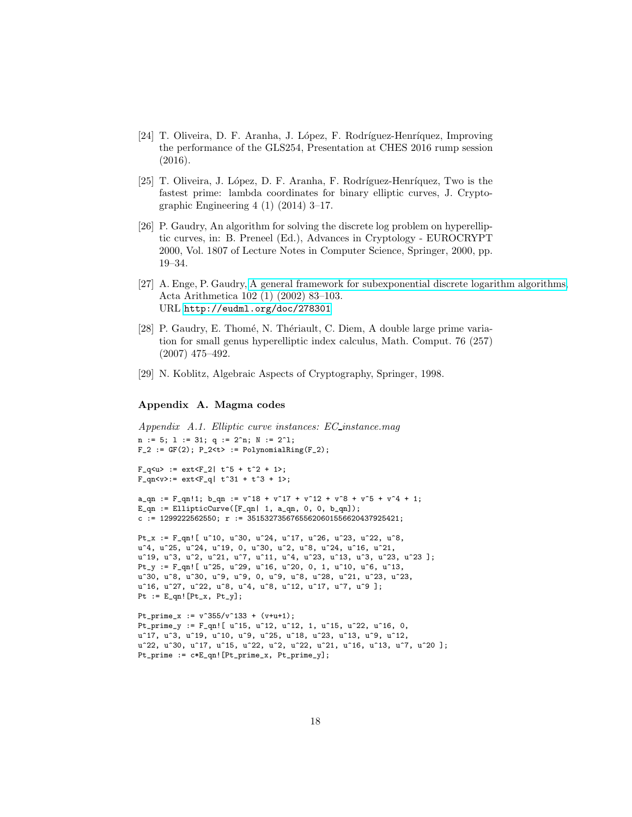- [24] T. Oliveira, D. F. Aranha, J. López, F. Rodríguez-Henríquez, Improving the performance of the GLS254, Presentation at CHES 2016 rump session (2016).
- [25] T. Oliveira, J. López, D. F. Aranha, F. Rodríguez-Henríquez, Two is the fastest prime: lambda coordinates for binary elliptic curves, J. Cryptographic Engineering 4 (1) (2014) 3–17.
- [26] P. Gaudry, An algorithm for solving the discrete log problem on hyperelliptic curves, in: B. Preneel (Ed.), Advances in Cryptology - EUROCRYPT 2000, Vol. 1807 of Lecture Notes in Computer Science, Springer, 2000, pp. 19–34.
- [27] A. Enge, P. Gaudry, [A general framework for subexponential discrete logarithm algorithms,](http://eudml.org/doc/278301) Acta Arithmetica 102 (1) (2002) 83–103. URL <http://eudml.org/doc/278301>
- [28] P. Gaudry, E. Thomé, N. Thériault, C. Diem, A double large prime variation for small genus hyperelliptic index calculus, Math. Comput. 76 (257) (2007) 475–492.
- [29] N. Koblitz, Algebraic Aspects of Cryptography, Springer, 1998.

#### Appendix A. Magma codes

```
Appendix A.1. Elliptic curve instances: EC instance.mag
n := 5; 1 := 31; q := 2^n n; N := 2^n1;F_2 := GF(2); P_2 < t > : = PolynomialRing(F_2);F_q < u := ext F_2 t<sup>-5</sup> + t<sup>-2</sup> + 1>;
F_qn < v > := ext < F_q | t^31 + t^3 + 1;
a_{\text{q}} := F_qn!1; b_{\text{q}} := v^18 + v^17 + v^12 + v^8 + v^5 + v^4 + 1;
E_qn := EllipticCurve([F_qn | 1, a_qn, 0, 0, b_qn]);
c := 1299222562550; r := 35153273567655620601556620437925421;
Pt_x := F_qn![ u^10, u^30, u^24, u^17, u^26, u^23, u^22, u^8,
u<sup>2</sup>4, u<sup>25</sup>, u<sup>22</sup>4, u<sup>21</sup>9, 0, u<sup>2</sup>30, u<sup>2</sup>, u<sup>2</sup>8, u<sup>22</sup>4, u<sup>21</sup>6, u<sup>21</sup>,
u<sup>-</sup>19, u<sup>-</sup>3, u<sup>-</sup>2, u<sup>-</sup>21, u<sup>-</sup>7, u<sup>-</sup>11, u<sup>-</sup>4, u<sup>-</sup>23, u<sup>-</sup>13, u<sup>-</sup>3, u<sup>-</sup>23, u<sup>-</sup>23 ];
Pt_y := F_qn![ u^25, u^29, u^16, u^20, 0, 1, u^10, u^6, u^13,
u^30, u^8, u^30, u^9, u^9, 0, u^9, u^8, u^28, u^21, u^23, u^23,
u^16, u^27, u^22, u^8, u^4, u^8, u^12, u^17, u^7, u^9 ];
Pt := E_qn! [Pt_x, Pt_y];
Pt_prime_x := v^355/v^133 + (v+u+1);
```

```
Pt_prime_y := F_qn![ u^15, u^12, u^12, 1, u^15, u^22, u^16, 0,
u<sup>2</sup>17, u<sup>2</sup>3, u<sup>2</sup>19, u<sup>2</sup>10, u<sup>2</sup>9, u<sup>2</sup>25, u<sup>2</sup>18, u<sup>2</sup>23, u<sup>2</sup>13, u<sup>2</sup>9, u<sup>212</sup>,
u^22, u^30, u^17, u^15, u^22, u^2, u^22, u^21, u^16, u^13, u^7, u^20 ];
Pt_prime := c*E_qn![Pt_prime_x, Pt_prime_y];
```